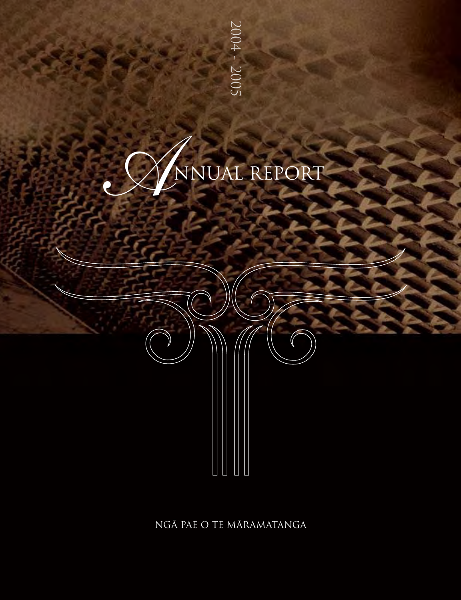



NGA PAE O TE MARAMATANGA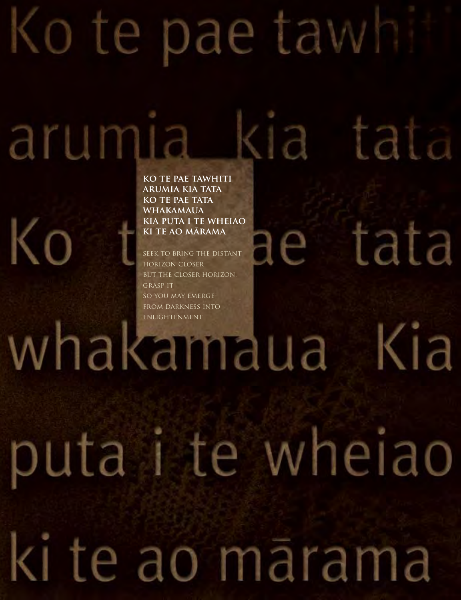# Ko te pae tawh

arumia kia tata

puta i te wheiao

ki te ao mārama

tata

e a

**ko te pae tawhiti arumia kia tata ko TE PAE TATA whakamaua kia puta i te wheiao ki te ao marama**

Ko

seek to bring the distant horizon closer BUT THE CLOSER HORIZON. grasp it so you may emerge from darkness into whakandua Kia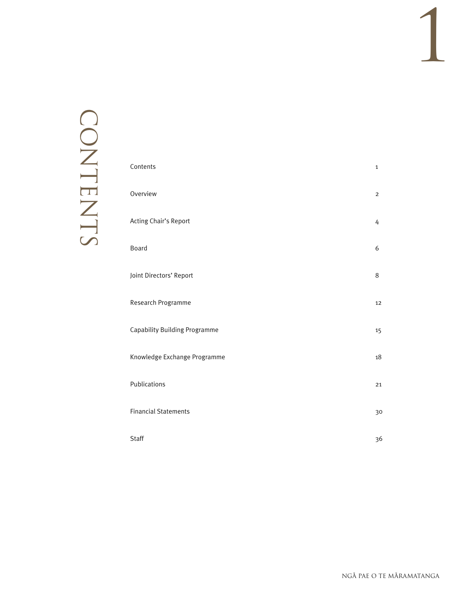# CONTENTS CONTENTS

| Contents                      | $\mathbf{1}$   |
|-------------------------------|----------------|
| Overview                      | $\overline{2}$ |
| Acting Chair's Report         | 4              |
| Board                         | 6              |
| Joint Directors' Report       | $8\,$          |
| Research Programme            | 12             |
| Capability Building Programme | 15             |
| Knowledge Exchange Programme  | 18             |
| Publications                  | 21             |
| <b>Financial Statements</b>   | 30             |
| <b>Staff</b>                  | 36             |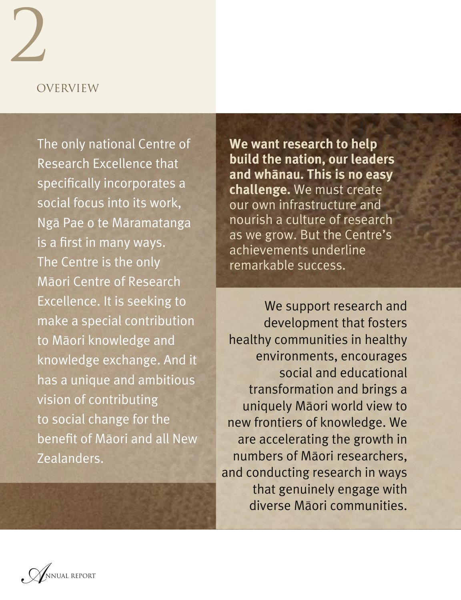### OVERVIEW

 $\overline{2}$ 

The only national Centre of Research Excellence that specifically incorporates a social focus into its work, Ngä Pae o te Märamatanga is a first in many ways. The Centre is the only Mäori Centre of Research Excellence. It is seeking to make a special contribution to Mäori knowledge and knowledge exchange. And it has a unique and ambitious vision of contributing to social change for the benefit of Mäori and all New Zealanders.

**We want research to help build the nation, our leaders and whänau. This is no easy challenge.** We must create our own infrastructure and nourish a culture of research as we grow. But the Centre's achievements underline remarkable success.

We support research and development that fosters healthy communities in healthy environments, encourages social and educational transformation and brings a uniquely Mäori world view to new frontiers of knowledge. We are accelerating the growth in numbers of Mäori researchers, and conducting research in ways that genuinely engage with diverse Mäori communities.

*A*NNUAL REPORT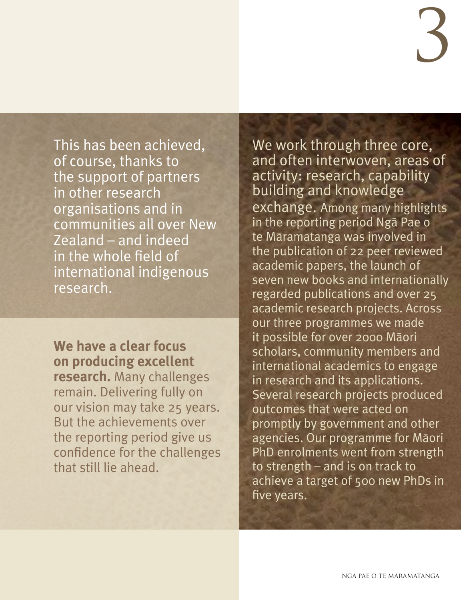This has been achieved, of course, thanks to the support of partners in other research organisations and in communities all over New Zealand – and indeed in the whole field of international indigenous research.

**We have a clear focus on producing excellent research.** Many challenges remain. Delivering fully on our vision may take 25 years. But the achievements over the reporting period give us confidence for the challenges that still lie ahead.

We work through three core, and often interwoven, areas of activity: research, capability building and knowledge exchange. Among many highlights in the reporting period Ngä Pae o te Märamatanga was involved in the publication of 22 peer reviewed academic papers, the launch of seven new books and internationally regarded publications and over 25 academic research projects. Across our three programmes we made it possible for over 2000 Mäori scholars, community members and international academics to engage in research and its applications. Several research projects produced outcomes that were acted on promptly by government and other agencies. Our programme for Mäori PhD enrolments went from strength to strength – and is on track to achieve a target of 500 new PhDs in five years.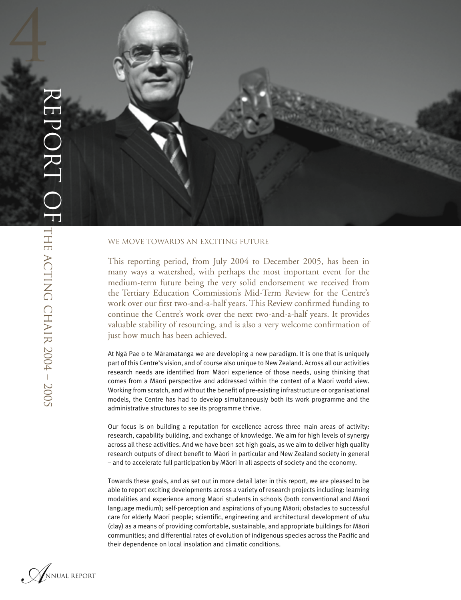

#### WE MOVE TOWARDS AN EXCITING FUTURE

This reporting period, from July 2004 to December 2005, has been in many ways a watershed, with perhaps the most important event for the medium-term future being the very solid endorsement we received from the Tertiary Education Commission's Mid-Term Review for the Centre's work over our first two-and-a-half years. This Review confirmed funding to continue the Centre's work over the next two-and-a-half years. It provides valuable stability of resourcing, and is also a very welcome confirmation of just how much has been achieved.

At Ngä Pae o te Märamatanga we are developing a new paradigm. It is one that is uniquely part of this Centre's vision, and of course also unique to New Zealand. Across all our activities research needs are identified from Mäori experience of those needs, using thinking that comes from a Mäori perspective and addressed within the context of a Mäori world view. Working from scratch, and without the benefit of pre-existing infrastructure or organisational models, the Centre has had to develop simultaneously both its work programme and the administrative structures to see its programme thrive.

Our focus is on building a reputation for excellence across three main areas of activity: research, capability building, and exchange of knowledge. We aim for high levels of synergy across all these activities. And we have been set high goals, as we aim to deliver high quality research outputs of direct benefit to Mäori in particular and New Zealand society in general – and to accelerate full participation by Mäori in all aspects of society and the economy.

Towards these goals, and as set out in more detail later in this report, we are pleased to be able to report exciting developments across a variety of research projects including: learning modalities and experience among Mäori students in schools (both conventional and Mäori language medium); self-perception and aspirations of young Mäori; obstacles to successful care for elderly Mäori people; scientific, engineering and architectural development of *uku* (clay) as a means of providing comfortable, sustainable, and appropriate buildings for Mäori communities; and differential rates of evolution of indigenous species across the Pacific and their dependence on local insolation and climatic conditions.

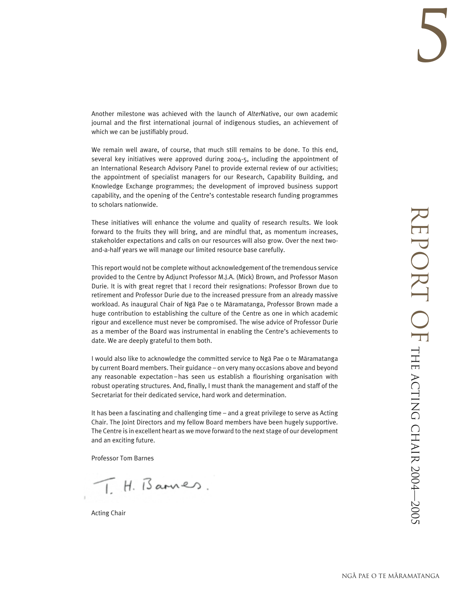Another milestone was achieved with the launch of *Alter*Native, our own academic journal and the first international journal of indigenous studies, an achievement of which we can be justifiably proud.

We remain well aware, of course, that much still remains to be done. To this end, several key initiatives were approved during 2004-5, including the appointment of an International Research Advisory Panel to provide external review of our activities; the appointment of specialist managers for our Research, Capability Building, and Knowledge Exchange programmes; the development of improved business support capability, and the opening of the Centre's contestable research funding programmes to scholars nationwide.

These initiatives will enhance the volume and quality of research results. We look forward to the fruits they will bring, and are mindful that, as momentum increases, stakeholder expectations and calls on our resources will also grow. Over the next twoand-a-half years we will manage our limited resource base carefully.

This reportwould not be completewithout acknowledgement of the tremendous service provided to the Centre by Adjunct Professor M.J.A. (Mick) Brown, and Professor Mason Durie. It is with great regret that I record their resignations: Professor Brown due to retirement and Professor Durie due to the increased pressure from an already massive workload. As inaugural Chair of Ngä Pae o te Märamatanga, Professor Brown made a huge contribution to establishing the culture of the Centre as one in which academic rigour and excellence must never be compromised. The wise advice of Professor Durie as a member of the Board was instrumental in enabling the Centre's achievements to date. We are deeply grateful to them both.

I would also like to acknowledge the committed service to Ngä Pae o te Märamatanga by current Board members. Their guidance – on very many occasions above and beyond any reasonable expectation – has seen us establish a flourishing organisation with robust operating structures. And, finally, I must thank the management and staff of the Secretariat for their dedicated service, hard work and determination.

It has been a fascinating and challenging time – and a great privilege to serve as Acting Chair. The Joint Directors and my fellow Board members have been hugely supportive. The Centre is in excellent heart aswe move forward to the next stage of our development and an exciting future.

Professor Tom Barnes

 $I. H.$  Bannes.

Acting Chair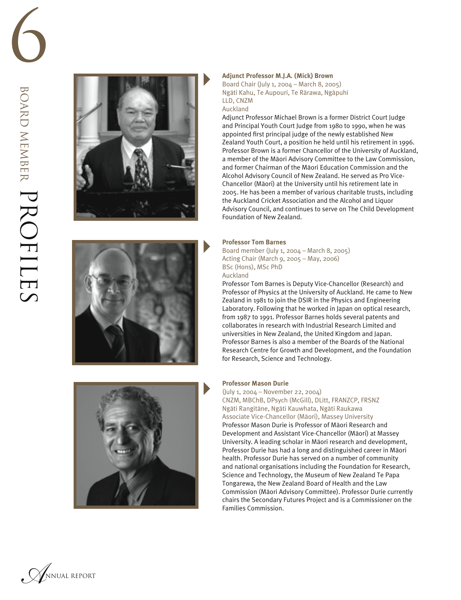





#### **Adjunct Professor M.J.A. (Mick) Brown**

Board Chair (July 1, 2004 – March 8, 2005) Ngäti Kahu, Te Aupouri, Te Rärawa, Ngäpuhi LLD, CNZM

#### Auckland

Adjunct Professor Michael Brown is a former District Court Judge and Principal Youth Court Judge from 1980 to 1990, when he was appointed first principal judge of the newly established New Zealand Youth Court, a position he held until his retirement in 1996. Professor Brown is a former Chancellor of the University of Auckland, a member of the Mäori Advisory Committee to the Law Commission, and former Chairman of the Mäori Education Commission and the Alcohol Advisory Council of New Zealand. He served as Pro Vice-Chancellor (Mäori) at the University until his retirement late in 2005. He has been a member of various charitable trusts, including the Auckland Cricket Association and the Alcohol and Liquor Advisory Council, and continues to serve on The Child Development Foundation of New Zealand.

#### **Professor Tom Barnes**

Board member (July 1, 2004 – March 8, 2005) Acting Chair (March 9, 2005 – May, 2006) BSc (Hons), MSc PhD Auckland

Professor Tom Barnes is Deputy Vice-Chancellor (Research) and Professor of Physics at the University of Auckland. He came to New Zealand in 1981 to join the DSIR in the Physics and Engineering Laboratory. Following that he worked in Japan on optical research, from 1987 to 1991. Professor Barnes holds several patents and collaborates in research with Industrial Research Limited and universities in New Zealand, the United Kingdom and Japan. Professor Barnes is also a member of the Boards of the National Research Centre for Growth and Development, and the Foundation for Research, Science and Technology.

#### **Professor Mason Durie**

(July 1, 2004 – November 22, 2004) CNZM, MBChB, DPsych (McGill), DLitt, FRANZCP, FRSNZ Ngäti Rangitäne, Ngäti Kauwhata, Ngäti Raukawa Associate Vice-Chancellor (Mäori), Massey University Professor Mason Durie is Professor of Mäori Research and Development and Assistant Vice-Chancellor (Mäori) at Massey University. A leading scholar in Mäori research and development, Professor Durie has had a long and distinguished career in Mäori health. Professor Durie has served on a number of community and national organisations including the Foundation for Research, Science and Technology, the Museum of New Zealand Te Papa Tongarewa, the New Zealand Board of Health and the Law Commission (Mäori Advisory Committee). Professor Durie currently chairs the Secondary Futures Project and is a Commissioner on the Families Commission.

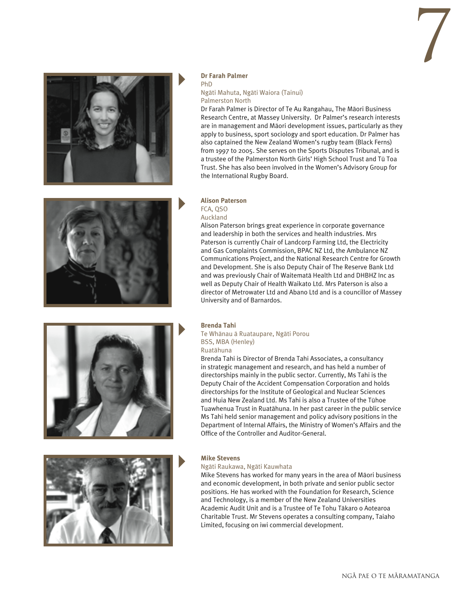



#### **Dr Farah Palmer**

#### PhD

#### Ngäti Mahuta, Ngäti Waiora (Tainui) Palmerston North

Dr Farah Palmer is Director of Te Au Rangahau, The Mäori Business Research Centre, at Massey University. Dr Palmer's research interests are in management and Mäori development issues, particularly as they apply to business, sport sociology and sport education. Dr Palmer has also captained the New Zealand Women's rugby team (Black Ferns) from 1997 to 2005. She serves on the Sports Disputes Tribunal, and is a trustee of the Palmerston North Girls' High School Trust and Tü Toa Trust. She has also been involved in the Women's Advisory Group for the International Rugby Board.



#### **Alison Paterson**  FCA, QSO Auckland

Alison Paterson brings great experience in corporate governance and leadership in both the services and health industries. Mrs Paterson is currently Chair of Landcorp Farming Ltd, the Electricity and Gas Complaints Commission, BPAC NZ Ltd, the Ambulance NZ Communications Project, and the National Research Centre for Growth and Development. She is also Deputy Chair of The Reserve Bank Ltd and was previously Chair of Waitematä Health Ltd and DHBHZ Inc as well as Deputy Chair of Health Waikato Ltd. Mrs Paterson is also a director of Metrowater Ltd and Abano Ltd and is a councillor of Massey University and of Barnardos.

Brenda Tahi is Director of Brenda Tahi Associates, a consultancy in strategic management and research, and has held a number of directorships mainly in the public sector. Currently, Ms Tahi is the Deputy Chair of the Accident Compensation Corporation and holds directorships for the Institute of Geological and Nuclear Sciences and Huia New Zealand Ltd. Ms Tahi is also a Trustee of the Tühoe Tuawhenua Trust in Ruatähuna. In her past career in the public service Ms Tahi held senior management and policy advisory positions in the Department of Internal Affairs, the Ministry of Women's Affairs and the



## Office of the Controller and Auditor-General.

**Brenda Tahi** 

BSS, MBA (Henley) Ruatähuna



#### **Mike Stevens**

#### Ngäti Raukawa, Ngäti Kauwhata

Te Whänau ä Ruataupare, Ngäti Porou

Mike Stevens has worked for many years in the area of Mäori business and economic development, in both private and senior public sector positions. He has worked with the Foundation for Research, Science and Technology, is a member of the New Zealand Universities Academic Audit Unit and is a Trustee of Te Tohu Täkaro o Aotearoa Charitable Trust. Mr Stevens operates a consulting company, Taiaho Limited, focusing on iwi commercial development.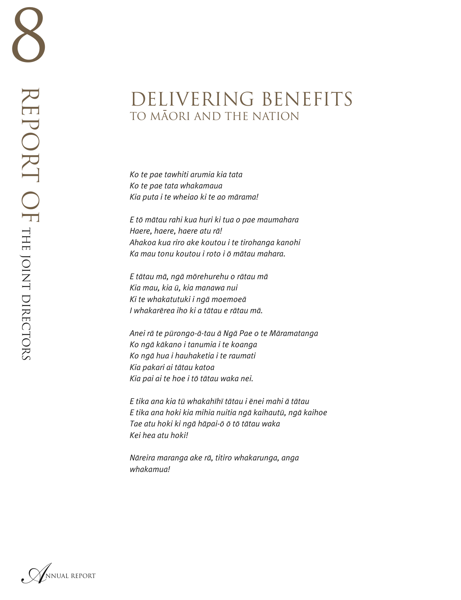## DELIVERING BENEFITS TO MAORI AND THE NATION

*Ko te pae tawhiti arumia kia tata Ko te pae tata whakamaua Kia puta i te wheiao ki te ao märama!*

*E tö mätau rahi kua huri ki tua o pae maumahara Haere, haere, haere atu rä! Ahakoa kua riro ake koutou i te tirohanga kanohi Ka mau tonu koutou i roto i ö mätau mahara.*

*E tätau mä, ngä mörehurehu o rätau mä Kia mau, kia ü, kia manawa nui Ki te whakatutuki i ngä moemoeä I whakarërea iho ki a tätau e rätau mä.*

*Anei rä te pürongo-ä-tau ä Ngä Pae o te Märamatanga Ko ngä käkano i tanumia i te koanga Ko ngä hua i hauhaketia i te raumati Kia pakari ai tätau katoa Kia pai ai te hoe i tö tätau waka nei.*

*E tika ana kia tü whakahïhï tätau i ënei mahi ä tätau E tika ana hoki kia mihia nuitia ngä kaihautü, ngä kaihoe Tae atu hoki ki ngä häpai-ö ö tö tätau waka Kei hea atu hoki!*

*Näreira maranga ake rä, titiro whakarunga, anga whakamua!*

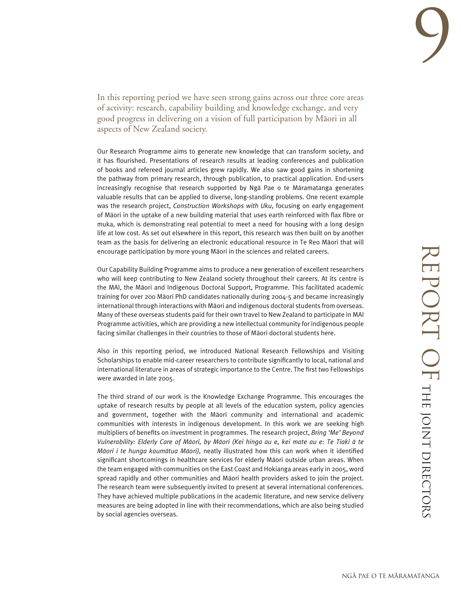In this reporting period we have seen strong gains across our three core areas of activity: research, capability building and knowledge exchange, and very good progress in delivering on a vision of full participation by Mäori in all aspects of New Zealand society.

Our Research Programme aims to generate new knowledge that can transform society, and it has flourished. Presentations of research results at leading conferences and publication of books and refereed journal articles grew rapidly. We also saw good gains in shortening the pathway from primary research, through publication, to practical application. End-users increasingly recognise that research supported by Ngä Pae o te Märamatanga generates valuable results that can be applied to diverse, long-standing problems. One recent example was the research project, *Construction Workshops with Uku*, focusing on early engagement of Mäori in the uptake of a new building material that uses earth reinforced with flax fibre or muka, which is demonstrating real potential to meet a need for housing with a long design life at low cost. As set out elsewhere in this report, this research was then built on by another team as the basis for delivering an electronic educational resource in Te Reo Mäori that will encourage participation by more young Mäori in the sciences and related careers.

Our Capability Building Programme aims to produce a new generation of excellent researchers who will keep contributing to New Zealand society throughout their careers. At its centre is the MAI, the Mäori and Indigenous Doctoral Support, Programme. This facilitated academic training for over 200 Mäori PhD candidates nationally during 2004-5 and became increasingly international through interactions with Mäori and indigenous doctoral students from overseas. Many of these overseas students paid for their own travel to New Zealand to participate in MAI Programme activities, which are providing a new intellectual community for indigenous people facing similar challenges in their countries to those of Mäori doctoral students here.

Also in this reporting period, we introduced National Research Fellowships and Visiting Scholarships to enable mid-career researchers to contribute significantly to local, national and international literature in areas of strategic importance to the Centre. The first two Fellowships were awarded in late 2005.

The third strand of our work is the Knowledge Exchange Programme. This encourages the uptake of research results by people at all levels of the education system, policy agencies and government, together with the Mäori community and international and academic communities with interests in indigenous development. In this work we are seeking high multipliers of benefits on investment in programmes. The research project, *Bring 'Me' Beyond Vulnerability: Elderly Care of Mäori, by Mäori (Kei hinga au e, kei mate au e: Te Tiaki ä te Mäori i te hunga kaumätua Mäori),* neatly illustrated how this can work when it identified significant shortcomings in healthcare services for elderly Mäori outside urban areas. When the team engaged with communities on the East Coast and Hokianga areas early in 2005, word spread rapidly and other communities and Mäori health providers asked to join the project. The research team were subsequently invited to present at several international conferences. They have achieved multiple publications in the academic literature, and new service delivery measures are being adopted in line with their recommendations, which are also being studied by social agencies overseas.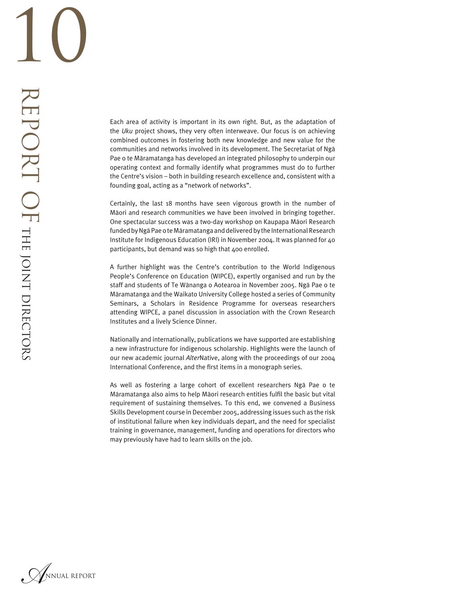Each area of activity is important in its own right. But, as the adaptation of the *Uku* project shows, they very often interweave. Our focus is on achieving combined outcomes in fostering both new knowledge and new value for the communities and networks involved in its development. The Secretariat of Ngä Pae o te Märamatanga has developed an integrated philosophy to underpin our operating context and formally identify what programmes must do to further the Centre's vision – both in building research excellence and, consistent with a founding goal, acting as a "network of networks".

Certainly, the last 18 months have seen vigorous growth in the number of Mäori and research communities we have been involved in bringing together. One spectacular success was a two-day workshop on Kaupapa Mäori Research funded by Ngã Pae o te Māramatanga and delivered by the International Research Institute for Indigenous Education (IRI) in November 2004. It was planned for 40 participants, but demand was so high that 400 enrolled.

A further highlight was the Centre's contribution to the World Indigenous People's Conference on Education (WIPCE), expertly organised and run by the staff and students of Te Wänanga o Aotearoa in November 2005. Ngä Pae o te Märamatanga and the Waikato University College hosted a series of Community Seminars, a Scholars in Residence Programme for overseas researchers attending WIPCE, a panel discussion in association with the Crown Research Institutes and a lively Science Dinner.

Nationally and internationally, publications we have supported are establishing a new infrastructure for indigenous scholarship. Highlights were the launch of our new academic journal *Alter*Native, along with the proceedings of our 2004 International Conference, and the first items in a monograph series.

As well as fostering a large cohort of excellent researchers Ngä Pae o te Märamatanga also aims to help Mäori research entities fulfil the basic but vital requirement of sustaining themselves. To this end, we convened a Business Skills Development course in December 2005, addressing issues such as the risk of institutional failure when key individuals depart, and the need for specialist training in governance, management, funding and operations for directors who may previously have had to learn skills on the job.

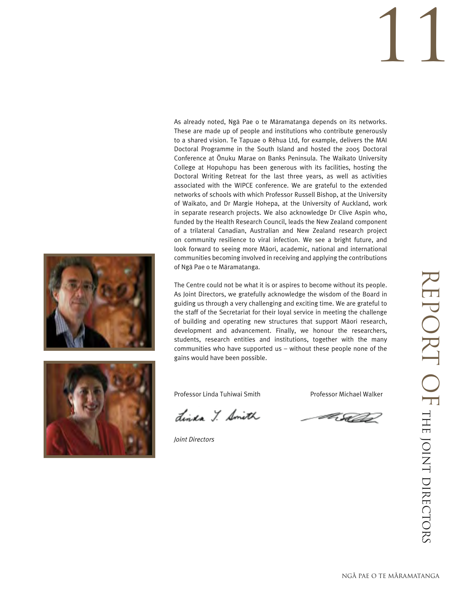As already noted, Ngä Pae o te Märamatanga depends on its networks. These are made up of people and institutions who contribute generously to a shared vision. Te Tapuae o Rëhua Ltd, for example, delivers the MAI Doctoral Programme in the South Island and hosted the 2005 Doctoral Conference at Onuku Marae on Banks Peninsula. The Waikato University College at Hopuhopu has been generous with its facilities, hosting the Doctoral Writing Retreat for the last three years, as well as activities associated with the WIPCE conference. We are grateful to the extended networks of schools with which Professor Russell Bishop, at the University of Waikato, and Dr Margie Hohepa, at the University of Auckland, work in separate research projects. We also acknowledge Dr Clive Aspin who, funded by the Health Research Council, leads the New Zealand component of a trilateral Canadian, Australian and New Zealand research project on community resilience to viral infection. We see a bright future, and look forward to seeing more Mäori, academic, national and international communities becoming involved in receiving and applying the contributions of Ngä Pae o te Märamatanga.

The Centre could not be what it is or aspires to become without its people. As Joint Directors, we gratefully acknowledge the wisdom of the Board in guiding us through a very challenging and exciting time. We are grateful to the staff of the Secretariat for their loyal service in meeting the challenge of building and operating new structures that support Mäori research, development and advancement. Finally, we honour the researchers, students, research entities and institutions, together with the many communities who have supported us – without these people none of the gains would have been possible.



Professor Linda Tuhiwai Smith **Professor Michael Walker** 

Linda Y. Smith

*Joint Directors*

F St

REPORT OF THE JOINT DIRECTORS REPORT OF THE JOINT DIRECTORS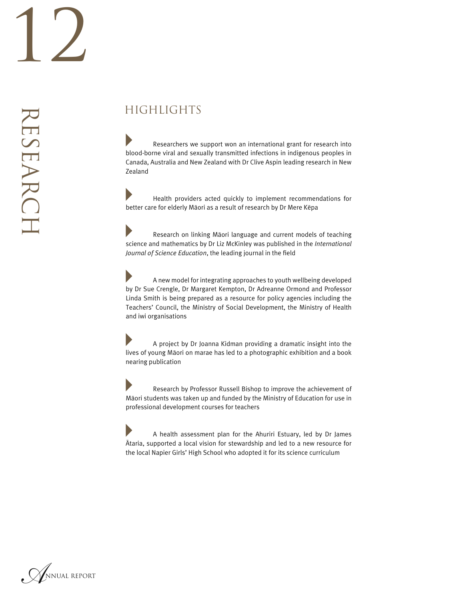RESEARCH

RESEARCH

 Researchers we support won an international grant for research into blood-borne viral and sexually transmitted infections in indigenous peoples in Canada, Australia and New Zealand with Dr Clive Aspin leading research in New Zealand

 Health providers acted quickly to implement recommendations for better care for elderly Mäori as a result of research by Dr Mere Këpa

 Research on linking Mäori language and current models of teaching science and mathematics by Dr Liz McKinley was published in the *International Journal of Science Education*, the leading journal in the field

 A new model for integrating approaches to youth wellbeing developed by Dr Sue Crengle, Dr Margaret Kempton, Dr Adreanne Ormond and Professor Linda Smith is being prepared as a resource for policy agencies including the Teachers' Council, the Ministry of Social Development, the Ministry of Health and iwi organisations

 A project by Dr Joanna Kidman providing a dramatic insight into the lives of young Mäori on marae has led to a photographic exhibition and a book nearing publication

 Research by Professor Russell Bishop to improve the achievement of Mäori students was taken up and funded by the Ministry of Education for use in professional development courses for teachers

 A health assessment plan for the Ahuriri Estuary, led by Dr James Ätaria, supported a local vision for stewardship and led to a new resource for the local Napier Girls' High School who adopted it for its science curriculum

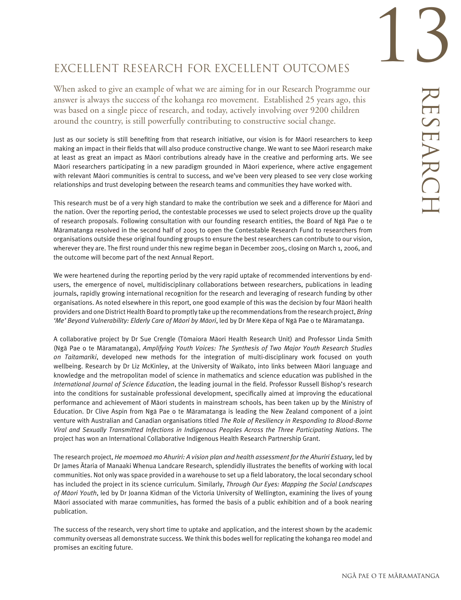# 13 RESEARCH RESEARCH

### EXCELLENT RESEARCH FOR EXCELLENT OUTCOMES

When asked to give an example of what we are aiming for in our Research Programme our answer is always the success of the kohanga reo movement. Established 25 years ago, this was based on a single piece of research, and today, actively involving over 9200 children around the country, is still powerfully contributing to constructive social change.

Just as our society is still benefiting from that research initiative, our vision is for Mäori researchers to keep making an impact in their fields that will also produce constructive change. We want to see Mäori research make at least as great an impact as Mäori contributions already have in the creative and performing arts. We see Mäori researchers participating in a new paradigm grounded in Mäori experience, where active engagement with relevant Mäori communities is central to success, and we've been very pleased to see very close working relationships and trust developing between the research teams and communities they have worked with.

This research must be of a very high standard to make the contribution we seek and a difference for Mäori and the nation. Over the reporting period, the contestable processes we used to select projects drove up the quality of research proposals. Following consultation with our founding research entities, the Board of Ngä Pae o te Märamatanga resolved in the second half of 2005 to open the Contestable Research Fund to researchers from organisations outside these original founding groups to ensure the best researchers can contribute to our vision, wherever they are. The first round under this new regime began in December 2005, closing on March 1, 2006, and the outcome will become part of the next Annual Report.

We were heartened during the reporting period by the very rapid uptake of recommended interventions by endusers, the emergence of novel, multidisciplinary collaborations between researchers, publications in leading journals, rapidly growing international recognition for the research and leveraging of research funding by other organisations. As noted elsewhere in this report, one good example of this was the decision by four Mäori health providers and one District Health Board to promptly take up the recommendations from the research project, *Bring 'Me' Beyond Vulnerability: Elderly Care of Mäori by Mäori*, led by Dr Mere Këpa of Ngä Pae o te Märamatanga.

A collaborative project by Dr Sue Crengle (Tömaiora Mäori Health Research Unit) and Professor Linda Smith (Ngä Pae o te Märamatanga), *Amplifying Youth Voices: The Synthesis of Two Major Youth Research Studies on Taitamariki*, developed new methods for the integration of multi-disciplinary work focused on youth wellbeing. Research by Dr Liz McKinley, at the University of Waikato, into links between Mäori language and knowledge and the metropolitan model of science in mathematics and science education was published in the *International Journal of Science Education*, the leading journal in the field. Professor Russell Bishop's research into the conditions for sustainable professional development, specifically aimed at improving the educational performance and achievement of Mäori students in mainstream schools, has been taken up by the Ministry of Education. Dr Clive Aspin from Ngä Pae o te Märamatanga is leading the New Zealand component of a joint venture with Australian and Canadian organisations titled *The Role of Resiliency in Responding to Blood-Borne Viral and Sexually Transmitted Infections in Indigenous Peoples Across the Three Participating Nations*. The project has won an International Collaborative Indigenous Health Research Partnership Grant.

The research project, *He moemoeä mo Ahuriri: A vision plan and health assessment for the Ahuriri Estuary*, led by Dr James Ätaria of Manaaki Whenua Landcare Research, splendidly illustrates the benefits of working with local communities. Not only was space provided in a warehouse to set up a field laboratory, the local secondary school has included the project in its science curriculum. Similarly, *Through Our Eyes: Mapping the Social Landscapes of Mäori Youth*, led by Dr Joanna Kidman of the Victoria University of Wellington, examining the lives of young Mäori associated with marae communities, has formed the basis of a public exhibition and of a book nearing publication.

The success of the research, very short time to uptake and application, and the interest shown by the academic community overseas all demonstrate success. We think this bodes well for replicating the kohanga reo model and promises an exciting future.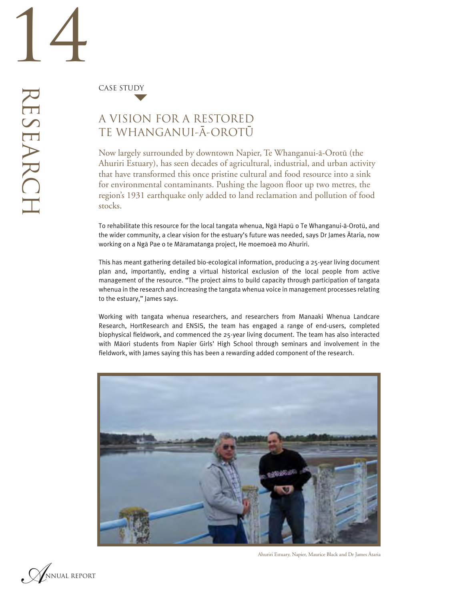CASE STUDY

### A VISION FOR A RESTORED TE WHANGANUI-A-OROTU

Now largely surrounded by downtown Napier, Te Whanganui-ä-Orotü (the Ahuriri Estuary), has seen decades of agricultural, industrial, and urban activity that have transformed this once pristine cultural and food resource into a sink for environmental contaminants. Pushing the lagoon floor up two metres, the region's 1931 earthquake only added to land reclamation and pollution of food stocks.

To rehabilitate this resource for the local tangata whenua, Ngä Hapü o Te Whanganui-ä-Orotü, and the wider community, a clear vision for the estuary's future was needed, says Dr James Ätaria, now working on a Ngä Pae o te Märamatanga project, He moemoeä mo Ahuriri.

This has meant gathering detailed bio-ecological information, producing a 25-year living document plan and, importantly, ending a virtual historical exclusion of the local people from active management of the resource. "The project aims to build capacity through participation of tangata whenua in the research and increasing the tangata whenua voice in management processes relating to the estuary," James says.

Working with tangata whenua researchers, and researchers from Manaaki Whenua Landcare Research, HortResearch and ENSIS, the team has engaged a range of end-users, completed biophysical fieldwork, and commenced the 25-year living document. The team has also interacted with Mäori students from Napier Girls' High School through seminars and involvement in the fieldwork, with James saying this has been a rewarding added component of the research.



Ahuriri Estuary, Napier, Maurice Black and Dr James Ätaria

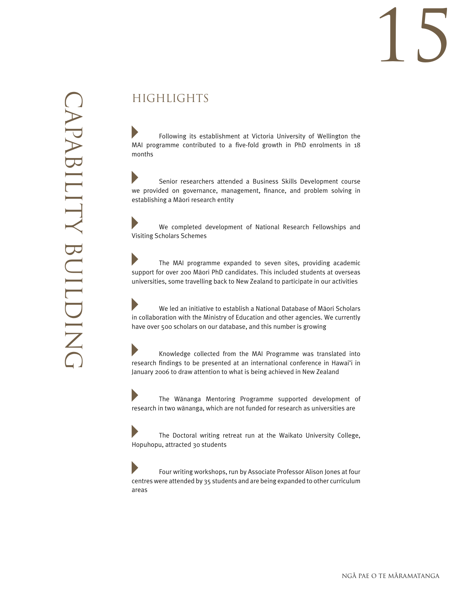# 15

## **HIGHLIGHTS**

 Following its establishment at Victoria University of Wellington the MAI programme contributed to a five-fold growth in PhD enrolments in 18 months

 Senior researchers attended a Business Skills Development course we provided on governance, management, finance, and problem solving in establishing a Mäori research entity

 We completed development of National Research Fellowships and Visiting Scholars Schemes

 The MAI programme expanded to seven sites, providing academic support for over 200 Mäori PhD candidates. This included students at overseas universities, some travelling back to New Zealand to participate in our activities

 We led an initiative to establish a National Database of Mäori Scholars in collaboration with the Ministry of Education and other agencies. We currently have over 500 scholars on our database, and this number is growing

 Knowledge collected from the MAI Programme was translated into research findings to be presented at an international conference in Hawai'i in January 2006 to draw attention to what is being achieved in New Zealand

 The Wänanga Mentoring Programme supported development of research in two wänanga, which are not funded for research as universities are

 The Doctoral writing retreat run at the Waikato University College, Hopuhopu, attracted 30 students

 Four writing workshops, run by Associate Professor Alison Jones at four centres were attended by 35 students and are being expanded to other curriculum areas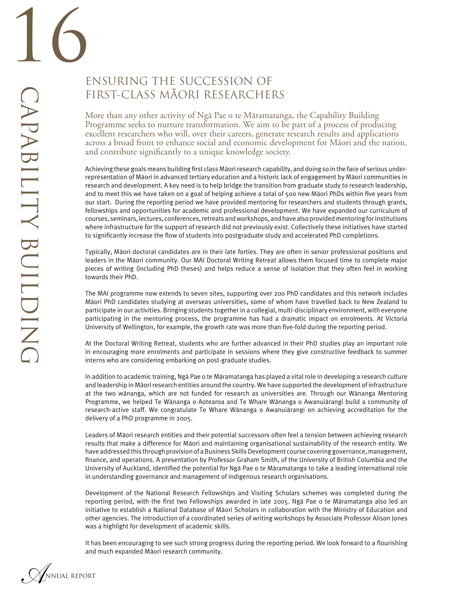### ENSURING THE SUCCESSION OF FIRST-CLASS MAORI RESEARCHERS

More than any other activity of Ngä Pae o te Märamatanga, the Capability Building Programme seeks to nurture transformation. We aim to be part of a process of producing excellent researchers who will, over their careers, generate research results and applications across a broad front to enhance social and economic development for Mäori and the nation, and contribute significantly to a unique knowledge society.

Achieving these goals means building first class Māori research capability, and doing so in the face of serious underrepresentation of Mäori in advanced tertiary education and a historic lack of engagement by Mäori communities in research and development. A key need is to help bridge the transition from graduate study to research leadership, and to meet this we have taken on a goal of helping achieve a total of 500 new Mäori PhDs within five years from our start. During the reporting period we have provided mentoring for researchers and students through grants, fellowships and opportunities for academic and professional development. We have expanded our curriculum of courses, seminars, lectures, conferences, retreats and workshops, and have also provided mentoring for institutions where infrastructure for the support of research did not previously exist. Collectively these initiatives have started to significantly increase the flow of students into postgraduate study and accelerated PhD completions.

Typically, Mäori doctoral candidates are in their late forties. They are often in senior professional positions and leaders in the Mäori community. Our MAI Doctoral Writing Retreat allows them focused time to complete major pieces of writing (including PhD theses) and helps reduce a sense of isolation that they often feel in working towards their PhD.

The MAI programme now extends to seven sites, supporting over 200 PhD candidates and this network includes Mäori PhD candidates studying at overseas universities, some of whom have travelled back to New Zealand to participate in our activities. Bringing students together in a collegial, multi-disciplinary environment,with everyone participating in the mentoring process, the programme has had a dramatic impact on enrolments. At Victoria University of Wellington, for example, the growth rate was more than five-fold during the reporting period.

At the Doctoral Writing Retreat, students who are further advanced in their PhD studies play an important role in encouraging more enrolments and participate in sessions where they give constructive feedback to summer interns who are considering embarking on post-graduate studies.

In addition to academic training, Ngä Pae o te Märamatanga has played a vital role in developing a research culture and leadership in Mäoriresearch entities around the country. We have supported the development of infrastructure at the two wänanga, which are not funded for research as universities are. Through our Wänanga Mentoring Programme, we helped Te Wänanga o Aotearoa and Te Whare Wänanga o Awanuiärangi build a community of research-active staff. We congratulate Te Whare Wänanga o Awanuiärangi on achieving accreditation for the delivery of a PhD programme in 2005.

Leaders of Mäori research entities and their potential successors often feel a tension between achieving research results that make a difference for Mäori and maintaining organisational sustainability of the research entity. We have addressed this through provision of a Business Skills Development course covering governance, management, finance, and operations. A presentation by Professor Graham Smith, of the University of British Columbia and the University of Auckland, identified the potential for Ngä Pae o te Märamatanga to take a leading international role in understanding governance and management of indigenous research organisations.

Development of the National Research Fellowships and Visiting Scholars schemes was completed during the reporting period, with the first two Fellowships awarded in late 2005. Ngä Pae o te Märamatanga also led an initiative to establish a National Database of Mäori Scholars in collaboration with the Ministry of Education and other agencies. The introduction of a coordinated series of writing workshops by Associate Professor Alison Jones was a highlight for development of academic skills.

It has been encouraging to see such strong progress during the reporting period. We look forward to a flourishing and much expanded Mäori research community.

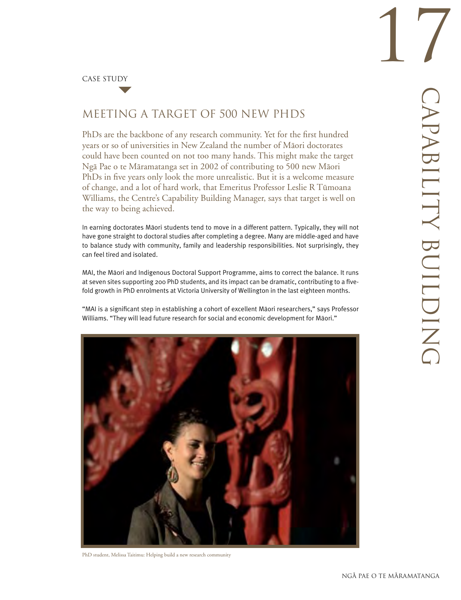CASE STUDY

### MEETING A TARGET OF 500 NEW PHDS

PhDs are the backbone of any research community. Yet for the first hundred years or so of universities in New Zealand the number of Mäori doctorates could have been counted on not too many hands. This might make the target Ngä Pae o te Märamatanga set in 2002 of contributing to 500 new Mäori PhDs in five years only look the more unrealistic. But it is a welcome measure of change, and a lot of hard work, that Emeritus Professor Leslie R Tümoana Williams, the Centre's Capability Building Manager, says that target is well on the way to being achieved.

In earning doctorates Mäori students tend to move in a different pattern. Typically, they will not have gone straight to doctoral studies after completing a degree. Many are middle-aged and have to balance study with community, family and leadership responsibilities. Not surprisingly, they can feel tired and isolated.

MAI, the Mäori and Indigenous Doctoral Support Programme, aims to correct the balance. It runs at seven sites supporting 200 PhD students, and its impact can be dramatic, contributing to a fivefold growth in PhD enrolments at Victoria University of Wellington in the last eighteen months.

"MAI is a significant step in establishing a cohort of excellent Mäori researchers," says Professor Williams. "They will lead future research for social and economic development for Mäori."



PhD student, Melissa Taitimu: Helping build a new research community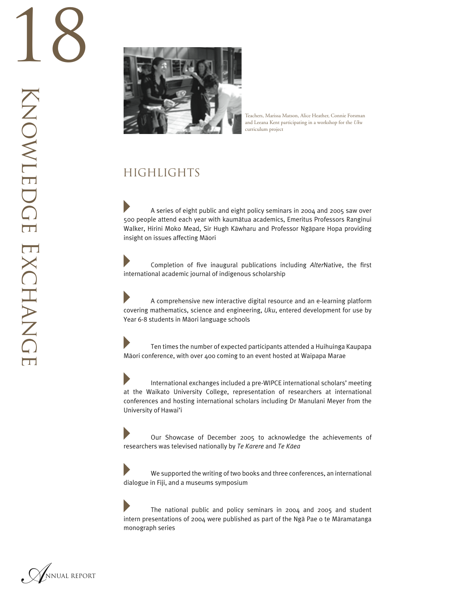

Teachers, Marissa Matson, Alice Heather, Connie Forsman and Leeana Kent participating in a workshop for the *Uku* curriculum project

### HIGHLIGHTS

 A series of eight public and eight policy seminars in 2004 and 2005 saw over 500 people attend each year with kaumätua academics, Emeritus Professors Ranginui Walker, Hirini Moko Mead, Sir Hugh Käwharu and Professor Ngäpare Hopa providing insight on issues affecting Mäori

D Completion of five inaugural publications including *Alter*Native, the first international academic journal of indigenous scholarship

 A comprehensive new interactive digital resource and an e-learning platform covering mathematics, science and engineering, *Uku*, entered development for use by Year 6-8 students in Mäori language schools

Þ Ten times the number of expected participants attended a Huihuinga Kaupapa Mäori conference, with over 400 coming to an event hosted at Waipapa Marae

 $\blacktriangleright$  International exchanges included a pre-WIPCE international scholars' meeting at the Waikato University College, representation of researchers at international conferences and hosting international scholars including Dr Manulani Meyer from the University of Hawai'i

 Our Showcase of December 2005 to acknowledge the achievements of researchers was televised nationally by *Te Karere* and *Te Käea* 

D We supported the writing of two books and three conferences, an international dialogue in Fiji, and a museums symposium

 The national public and policy seminars in 2004 and 2005 and student intern presentations of 2004 were published as part of the Ngä Pae o te Märamatanga monograph series

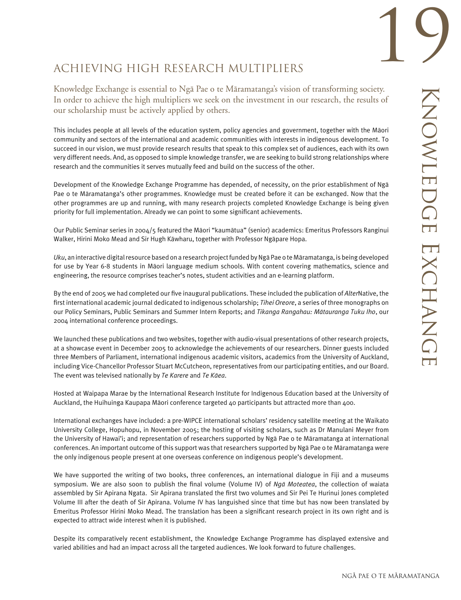## ACHIEVING HIGH RESEARCH MULTIPLIERS

Knowledge Exchange is essential to Ngä Pae o te Märamatanga's vision of transforming society. In order to achieve the high multipliers we seek on the investment in our research, the results of our scholarship must be actively applied by others.

This includes people at all levels of the education system, policy agencies and government, together with the Mäori community and sectors of the international and academic communities with interests in indigenous development. To succeed in our vision, we must provide research results that speak to this complex set of audiences, each with its own very different needs. And, as opposed to simple knowledge transfer, we are seeking to build strong relationships where research and the communities it serves mutually feed and build on the success of the other.

Development of the Knowledge Exchange Programme has depended, of necessity, on the prior establishment of Ngä Pae o te Märamatanga's other programmes. Knowledge must be created before it can be exchanged. Now that the other programmes are up and running, with many research projects completed Knowledge Exchange is being given priority for full implementation. Already we can point to some significant achievements.

Our Public Seminar series in 2004/5 featured the Mäori "kaumätua" (senior) academics: Emeritus Professors Ranginui Walker, Hirini Moko Mead and Sir Hugh Käwharu, together with Professor Ngäpare Hopa.

*Uku*, an interactive digitalresource based on a research projectfunded byNgä Pae o teMäramatanga, is being developed for use by Year 6-8 students in Mäori language medium schools. With content covering mathematics, science and engineering, the resource comprises teacher's notes, student activities and an e-learning platform.

By the end of 2005 we had completed our five inaugural publications. These included the publication of *Alter*Native, the first international academic journal dedicated to indigenous scholarship; *Tihei Oreore*, a series of three monographs on our Policy Seminars, Public Seminars and Summer Intern Reports; and *Tikanga Rangahau: Mätauranga Tuku Iho*, our 2004 international conference proceedings.

We launched these publications and two websites, together with audio-visual presentations of other research projects, at a showcase event in December 2005 to acknowledge the achievements of our researchers. Dinner guests included three Members of Parliament, international indigenous academic visitors, academics from the University of Auckland, including Vice-Chancellor Professor Stuart McCutcheon, representatives from our participating entities, and our Board. The event was televised nationally by *Te Karere* and *Te Käea*.

Hosted at Waipapa Marae by the International Research Institute for Indigenous Education based at the University of Auckland, the Huihuinga Kaupapa Mäori conference targeted 40 participants but attracted more than 400.

International exchanges have included: a pre-WIPCE international scholars' residency satellite meeting at the Waikato University College, Hopuhopu, in November 2005; the hosting of visiting scholars, such as Dr Manulani Meyer from the University of Hawai'i; and representation of researchers supported by Ngä Pae o te Märamatanga at international conferences. An important outcome of this support was that researchers supported by Ngä Pae o te Märamatanga were the only indigenous people present at one overseas conference on indigenous people's development.

We have supported the writing of two books, three conferences, an international dialogue in Fiji and a museums symposium. We are also soon to publish the final volume (Volume IV) of *Ngä Moteatea*, the collection of waiata assembled by Sir Apirana Ngata. Sir Apirana translated the first two volumes and Sir Pei Te Hurinui Jones completed Volume III after the death of Sir Apirana. Volume IV has languished since that time but has now been translated by Emeritus Professor Hirini Moko Mead. The translation has been a significant research project in its own right and is expected to attract wide interest when it is published.

Despite its comparatively recent establishment, the Knowledge Exchange Programme has displayed extensive and varied abilities and had an impact across all the targeted audiences. We look forward to future challenges.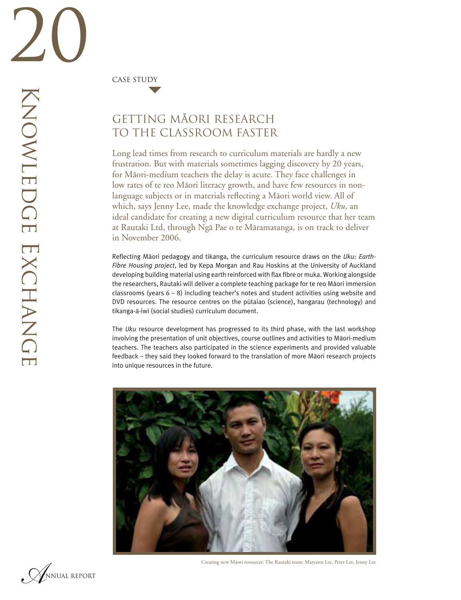CASE STUDY

### GETTING MAORI RESEARCH TO THE CLASSROOM FASTER

Long lead times from research to curriculum materials are hardly a new frustration. But with materials sometimes lagging discovery by 20 years, for Mäori-medium teachers the delay is acute. They face challenges in low rates of te reo Mäori literacy growth, and have few resources in nonlanguage subjects or in materials reflecting a Mäori world view. All of which, says Jenny Lee, made the knowledge exchange project, *Uku*, an ideal candidate for creating a new digital curriculum resource that her team at Rautaki Ltd, through Ngä Pae o te Märamatanga, is on track to deliver in November 2006.

Reflecting Mäori pedagogy and tikanga, the curriculum resource draws on the *Uku: Earth-Fibre Housing project*, led by Kepa Morgan and Rau Hoskins at the University of Auckland developing building material using earth reinforced with flax fibre or muka. Working alongside the researchers, Rautaki will deliver a complete teaching package for te reo Mäori immersion classrooms (years  $6 - 8$ ) including teacher's notes and student activities using website and DVD resources. The resource centres on the pütaiao (science), hangarau (technology) and tikanga-ä-iwi (social studies) curriculum document.

The *Uku* resource development has progressed to its third phase, with the last workshop involving the presentation of unit objectives, course outlines and activities to Mäori-medium teachers. The teachers also participated in the science experiments and provided valuable feedback – they said they looked forward to the translation of more Mäori research projects into unique resources in the future.





Creating new Mäori resources: The Rautaki team: Maryann Lee, Peter Lee, Jenny Lee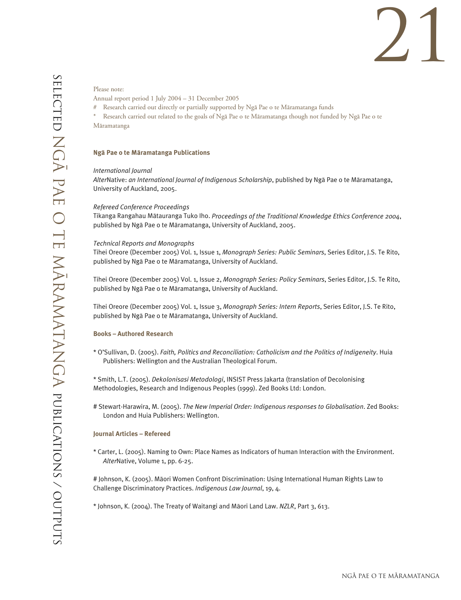# 21

#### Please note:

- Annual report period 1 July 2004 31 December 2005
- # Research carried out directly or partially supported by Ngä Pae o te Märamatanga funds
- Research carried out related to the goals of Ngã Pae o te Märamatanga though not funded by Ngã Pae o te Märamatanga

#### **Ngä Pae o te Märamatanga Publications**

#### *International Journal*

*Alter*Native: *an International Journal of Indigenous Scholarship*, published by Ngä Pae o te Märamatanga, University of Auckland, 2005.

#### *Refereed Conference Proceedings*

Tikanga Rangahau Mätauranga Tuko Iho. *Proceedings of the Traditional Knowledge Ethics Conference 2004*, published by Ngä Pae o te Märamatanga, University of Auckland, 2005.

#### *Technical Reports and Monographs*

Tihei Oreore (December 2005) Vol. 1, Issue 1, *Monograph Series: Public Seminars*, Series Editor, J.S. Te Rito, published by Ngä Pae o te Märamatanga, University of Auckland.

Tihei Oreore (December 2005) Vol. 1, Issue 2, *Monograph Series: Policy Seminars*, Series Editor, J.S. Te Rito, published by Ngä Pae o te Märamatanga, University of Auckland.

Tihei Oreore (December 2005) Vol. 1, Issue 3, *Monograph Series: Intern Reports*, Series Editor, J.S. Te Rito, published by Ngä Pae o te Märamatanga, University of Auckland.

#### **Books – Authored Research**

- \* O'Sullivan, D. (2005). *Faith, Politics and Reconciliation: Catholicism and the Politics of Indigeneity*. Huia Publishers: Wellington and the Australian Theological Forum.
- \* Smith, L.T. (2005). *Dekolonisasi Metodologi*, INSIST Press Jakarta (translation of Decolonising Methodologies, Research and Indigenous Peoples (1999). Zed Books Ltd: London.
- # Stewart-Harawira, M. (2005). *The New Imperial Order: Indigenous responses to Globalisation*. Zed Books: London and Huia Publishers: Wellington.

#### **Journal Articles – Refereed**

\* Carter, L. (2005). Naming to Own: Place Names as Indicators of human Interaction with the Environment. *Alter*Native, Volume 1, pp. 6-25.

# Johnson, K. (2005). Mäori Women Confront Discrimination: Using International Human Rights Law to Challenge Discriminatory Practices. *Indigenous Law Journal*, 19, 4.

\* Johnson, K. (2004). The Treaty of Waitangi and Mäori Land Law. *NZLR*, Part 3, 613.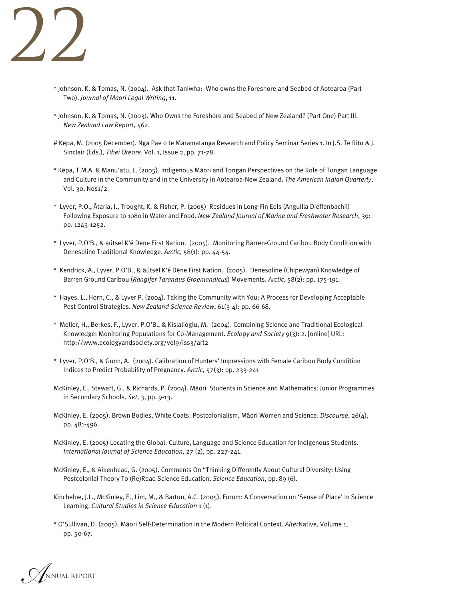

- \* Johnson, K. & Tomas, N. (2004). Ask that Taniwha: Who owns the Foreshore and Seabed of Aotearoa (Part Two). *Journal of Mäori Legal Writing*, 11.
- \* Johnson, K. & Tomas, N. (2003). Who Owns the Foreshore and Seabed of New Zealand? (Part One) Part III. *New Zealand Law Report*, 462.
- # Këpa, M. (2005 December). Ngä Pae o te Märamatanga Research and Policy Seminar Series 1. In J.S. Te Rito & J. Sinclair (Eds.), *Tihei Oreore*. Vol. 1, Issue 2, pp. 71-78.
- \* Këpa, T.M.A. & Manu'atu, L. (2005). Indigenous Mäori and Tongan Perspectives on the Role of Tongan Language and Culture in the Community and in the University in Aotearoa-New Zealand. *The American Indian Quarterly*, Vol. 30, Nos1/2.
- \* Lyver, P.O., Ätaria, J., Trought, K. & Fisher, P. (2005) Residues in Long-Fin Eels (Anguilla Dieffenbachii) Following Exposure to 1080 in Water and Food. *New Zealand Journal of Marine and Freshwater Research*, 39: pp. 1243-1252.
- \* Lyver, P.O'B., & äútsël K'é Dëne First Nation. (2005). Monitoring Barren-Ground Caribou Body Condition with Denesoline Traditional Knowledge. *Arctic*, 58(1): pp. 44-54.
- \* Kendrick, A., Lyver, P.O'B., & äútsël K'é Dëne First Nation. (2005). Denesoline (Chipewyan) Knowledge of Barren Ground Caribou (*Rangifer Tarandus Groenlandicus*) Movements. *Arctic*, 58(2): pp. 175-191.
- \* Hayes, L., Horn, C., & Lyver P. (2004). Taking the Community with You: A Process for Developing Acceptable Pest Control Strategies. *New Zealand Science Review*, 61(3-4): pp. 66-68.
- \* Moller, H., Berkes, F., Lyver, P.O'B., & Kislalioglu, M. (2004). Combining Science and Traditional Ecological Knowledge: Monitoring Populations for Co-Management. *Ecology and Society* 9(3): 2. [online] URL: http://www.ecologyandsociety.org/vol9/iss3/art2
- \* Lyver, P.O'B., & Gunn, A. (2004). Calibration of Hunters' Impressions with Female Caribou Body Condition Indices to Predict Probability of Pregnancy. *Arctic*, 57(3): pp. 233-241
- McKinley, E., Stewart, G., & Richards, P. (2004). Mäori Students in Science and Mathematics: Junior Programmes in Secondary Schools. *Set*, 3, pp. 9-13.
- McKinley, E. (2005). Brown Bodies, White Coats: Postcolonialism, Mäori Women and Science. *Discourse*, 26(4), pp. 481-496.
- McKinley, E. (2005) Locating the Global: Culture, Language and Science Education for Indigenous Students. *International Journal of Science Education*, 27 (2), pp. 227-241.
- McKinley, E., & Aikenhead, G. (2005). Comments On "Thinking Differently About Cultural Diversity: Using Postcolonial Theory To (Re)Read Science Education. *Science Education*, pp. 89 (6).
- Kincheloe, J.L., McKinley, E., Lim, M., & Barton, A.C. (2005). Forum: A Conversation on 'Sense of Place' In Science Learning. *Cultural Studies in Science Education* 1 (1).
- \* O'Sullivan, D. (2005). Mäori Self-Determination in the Modern Political Context. *Alter*Native, Volume 1, pp. 50-67.

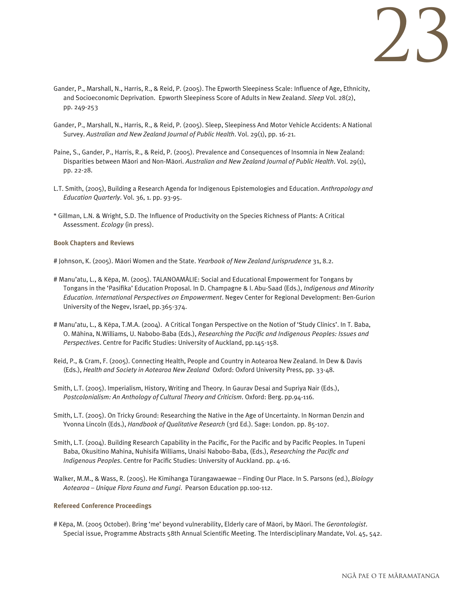

- Gander, P., Marshall, N., Harris, R., & Reid, P. (2005). The Epworth Sleepiness Scale: Influence of Age, Ethnicity, and Socioeconomic Deprivation. Epworth Sleepiness Score of Adults in New Zealand. *Sleep* Vol. 28(2), pp. 249-253
- Gander, P., Marshall, N., Harris, R., & Reid, P. (2005). Sleep, Sleepiness And Motor Vehicle Accidents: A National Survey. *Australian and New Zealand Journal of Public Health*. Vol. 29(1), pp. 16-21.
- Paine, S., Gander, P., Harris, R., & Reid, P. (2005). Prevalence and Consequences of Insomnia in New Zealand: Disparities between Mäori and Non-Mäori. *Australian and New Zealand Journal of Public Health*. Vol. 29(1), pp. 22-28.
- L.T. Smith, (2005), Building a Research Agenda for Indigenous Epistemologies and Education. *Anthropology and Education Quarterly*. Vol. 36, 1. pp. 93-95.
- \* Gillman, L.N. & Wright, S.D. The Influence of Productivity on the Species Richness of Plants: A Critical Assessment. *Ecology* (in press).

#### **Book Chapters and Reviews**

- # Johnson, K. (2005). Mäori Women and the State. *Yearbook of New Zealand Jurisprudence* 31, 8.2.
- # Manu'atu, L., & Këpa, M. (2005). TALANOAMÄLIE: Social and Educational Empowerment for Tongans by Tongans in the 'Pasifika' Education Proposal. In D. Champagne & I. Abu-Saad (Eds.), *Indigenous and Minority Education. International Perspectives on Empowerment*. Negev Center for Regional Development: Ben-Gurion University of the Negev, Israel, pp.365-374.
- # Manu'atu, L., & Këpa, T.M.A. (2004). A Critical Tongan Perspective on the Notion of 'Study Clinics'. In T. Baba, O. Mähina, N.Williams, U. Nabobo-Baba (Eds.), *Researching the Pacific and Indigenous Peoples: Issues and Perspectives*. Centre for Pacific Studies: University of Auckland, pp.145-158.
- Reid, P., & Cram, F. (2005). Connecting Health, People and Country in Aotearoa New Zealand. In Dew & Davis (Eds.), *Health and Society in Aotearoa New Zealand* Oxford: Oxford University Press, pp. 33-48.
- Smith, L.T. (2005). Imperialism, History, Writing and Theory. In Gaurav Desai and Supriya Nair (Eds.), *Postcolonialism: An Anthology of Cultural Theory and Criticism*. Oxford: Berg. pp.94-116.
- Smith, L.T. (2005). On Tricky Ground: Researching the Native in the Age of Uncertainty. In Norman Denzin and Yvonna Lincoln (Eds.), *Handbook of Qualitative Research* (3rd Ed.). Sage: London. pp. 85-107.
- Smith, L.T. (2004). Building Research Capability in the Pacific, For the Pacific and by Pacific Peoples. In Tupeni Baba, Okusitino Mahina, Nuhisifa Williams, Unaisi Nabobo-Baba, (Eds.), *Researching the Pacific and Indigenous Peoples*. Centre for Pacific Studies: University of Auckland. pp. 4-16.
- Walker, M.M., & Wass, R. (2005). He Kimihanga Türangawaewae Finding Our Place. In S. Parsons (ed.), *Biology Aotearoa – Unique Flora Fauna and Fungi*. Pearson Education pp.100-112.

#### **Refereed Conference Proceedings**

# Këpa, M. (2005 October). Bring 'me' beyond vulnerability, Elderly care of Mäori, by Mäori. The *Gerontologist*. Special issue, Programme Abstracts 58th Annual Scientific Meeting. The Interdisciplinary Mandate, Vol. 45, 542.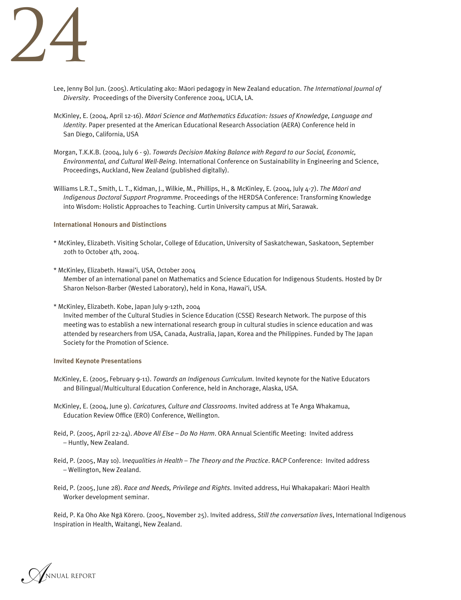

- Lee, Jenny Bol Jun. (2005). Articulating ako: Mäori pedagogy in New Zealand education. *The International Journal of Diversity*. Proceedings of the Diversity Conference 2004, UCLA, LA.
- McKinley, E. (2004, April 12-16). *Mäori Science and Mathematics Education: Issues of Knowledge, Language and Identity*. Paper presented at the American Educational Research Association (AERA) Conference held in San Diego, California, USA
- Morgan, T.K.K.B. (2004, July 6 9). *Towards Decision Making Balance with Regard to our Social, Economic, Environmental, and Cultural Well-Being*. International Conference on Sustainability in Engineering and Science, Proceedings, Auckland, New Zealand (published digitally).
- Williams L.R.T., Smith, L. T., Kidman, J., Wilkie, M., Phillips, H., & McKinley, E. (2004, July 4-7). *The Mäori and Indigenous Doctoral Support Programme*. Proceedings of the HERDSA Conference: Transforming Knowledge into Wisdom: Holistic Approaches to Teaching. Curtin University campus at Miri, Sarawak.

#### **International Honours and Distinctions**

- \* McKinley, Elizabeth. Visiting Scholar, College of Education, University of Saskatchewan, Saskatoon, September 20th to October 4th, 2004.
- \* McKinley, Elizabeth. Hawai'i, USA, October 2004 Member of an international panel on Mathematics and Science Education for Indigenous Students. Hosted by Dr Sharon Nelson-Barber (Wested Laboratory), held in Kona, Hawai'i, USA.
- \* McKinley, Elizabeth. Kobe, Japan July 9-12th, 2004

 Invited member of the Cultural Studies in Science Education (CSSE) Research Network. The purpose of this meeting was to establish a new international research group in cultural studies in science education and was attended by researchers from USA, Canada, Australia, Japan, Korea and the Philippines. Funded by The Japan Society for the Promotion of Science.

#### **Invited Keynote Presentations**

- McKinley, E. (2005, February 9-11). *Towards an Indigenous Curriculum*. Invited keynote for the Native Educators and Bilingual/Multicultural Education Conference, held in Anchorage, Alaska, USA.
- McKinley, E. (2004, June 9). *Caricatures, Culture and Classrooms*. Invited address at Te Anga Whakamua, Education Review Office (ERO) Conference, Wellington.
- Reid, P. (2005, April 22-24). *Above All Else Do No Harm*. ORA Annual Scientific Meeting: Invited address – Huntly, New Zealand.
- Reid, P. (2005, May 10). I*nequalities in Health The Theory and the Practice*. RACP Conference: Invited address – Wellington, New Zealand.
- Reid, P. (2005, June 28). *Race and Needs, Privilege and Rights*. Invited address, Hui Whakapakari: Mäori Health Worker development seminar.

Reid, P. Ka Oho Ake Ngä Körero. (2005, November 25). Invited address, *Still the conversation lives*, International Indigenous Inspiration in Health, Waitangi, New Zealand.

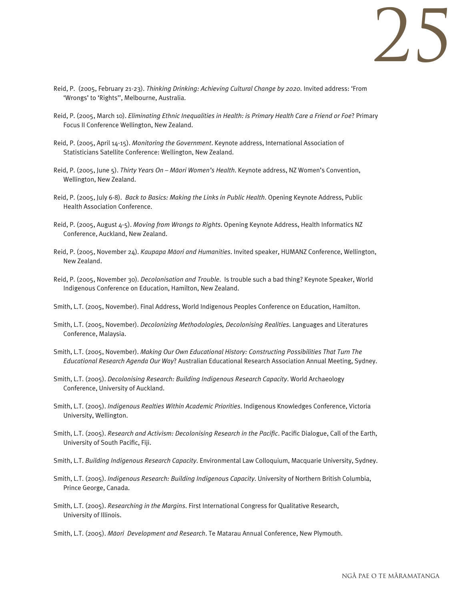

- Reid, P. (2005, February 21-23). *Thinking Drinking: Achieving Cultural Change by 2020*. Invited address: 'From 'Wrongs' to 'Rights'', Melbourne, Australia.
- Reid, P. (2005, March 10). *Eliminating Ethnic Inequalities in Health: is Primary Health Care a Friend or Foe*? Primary Focus II Conference Wellington, New Zealand.
- Reid, P. (2005, April 14-15). *Monitoring the Government*. Keynote address, International Association of Statisticians Satellite Conference: Wellington, New Zealand.
- Reid, P. (2005, June 5). *Thirty Years On Mäori Women's Health*. Keynote address, NZ Women's Convention, Wellington, New Zealand.
- Reid, P. (2005, July 6-8). *Back to Basics: Making the Links in Public Health*. Opening Keynote Address, Public Health Association Conference.
- Reid, P. (2005, August 4-5). *Moving from Wrongs to Rights*. Opening Keynote Address, Health Informatics NZ Conference, Auckland, New Zealand.
- Reid, P. (2005, November 24). *Kaupapa Mäori and Humanities*. Invited speaker, HUMANZ Conference, Wellington, New Zealand.
- Reid, P. (2005, November 30). *Decolonisation and Trouble*. Is trouble such a bad thing? Keynote Speaker, World Indigenous Conference on Education, Hamilton, New Zealand.
- Smith, L.T. (2005, November). Final Address, World Indigenous Peoples Conference on Education, Hamilton.
- Smith, L.T. (2005, November). *Decolonizing Methodologies, Decolonising Realities*. Languages and Literatures Conference, Malaysia.
- Smith, L.T. (2005, November). *Making Our Own Educational History: Constructing Possibilities That Turn The Educational Research Agenda Our Way*? Australian Educational Research Association Annual Meeting, Sydney.
- Smith, L.T. (2005). *Decolonising Research: Building Indigenous Research Capacity*. World Archaeology Conference, University of Auckland.
- Smith, L.T. (2005). *Indigenous Realties Within Academic Priorities*. Indigenous Knowledges Conference, Victoria University, Wellington.
- Smith, L.T. (2005). *Research and Activism: Decolonising Research in the Pacific*. Pacific Dialogue, Call of the Earth, University of South Pacific, Fiji.
- Smith, L.T. *Building Indigenous Research Capacity*. Environmental Law Colloquium, Macquarie University, Sydney.
- Smith, L.T. (2005). *Indigenous Research: Building Indigenous Capacity*. University of Northern British Columbia, Prince George, Canada.
- Smith, L.T. (2005). *Researching in the Margins*. First International Congress for Qualitative Research, University of Illinois.
- Smith, L.T. (2005). *Mäori Development and Research*. Te Matarau Annual Conference, New Plymouth.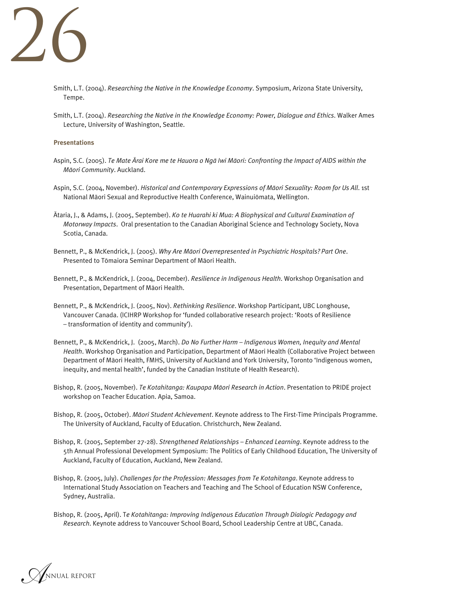

- Smith, L.T. (2004). *Researching the Native in the Knowledge Economy*. Symposium, Arizona State University, Tempe.
- Smith, L.T. (2004). *Researching the Native in the Knowledge Economy: Power, Dialogue and Ethics*. Walker Ames Lecture, University of Washington, Seattle.

#### **Presentations**

- Aspin, S.C. (2005). *Te Mate Ärai Kore me te Hauora o Ngä Iwi Mäori: Confronting the Impact of AIDS within the Mäori Community*. Auckland.
- Aspin, S.C. (2004, November). *Historical and Contemporary Expressions of Mäori Sexuality: Room for Us All*. 1st National Mäori Sexual and Reproductive Health Conference, Wainuiömata, Wellington.
- Ätaria, J., & Adams, J. (2005, September). *Ko te Huarahi ki Mua: A Biophysical and Cultural Examination of Motorway Impacts*. Oral presentation to the Canadian Aboriginal Science and Technology Society, Nova Scotia, Canada.
- Bennett, P., & McKendrick, J. (2005). *Why Are Mäori Overrepresented in Psychiatric Hospitals? Part One*. Presented to Tömaiora Seminar Department of Mäori Health.
- Bennett, P., & McKendrick, J. (2004, December). *Resilience in Indigenous Health*. Workshop Organisation and Presentation, Department of Mäori Health.
- Bennett, P., & McKendrick, J. (2005, Nov). *Rethinking Resilience*. Workshop Participant, UBC Longhouse, Vancouver Canada. (ICIHRP Workshop for 'funded collaborative research project: 'Roots of Resilience – transformation of identity and community').
- Bennett, P., & McKendrick, J. (2005, March). *Do No Further Harm Indigenous Women, Inequity and Mental Health*. Workshop Organisation and Participation, Department of Mäori Health (Collaborative Project between Department of Mäori Health, FMHS, University of Auckland and York University, Toronto 'Indigenous women, inequity, and mental health', funded by the Canadian Institute of Health Research).
- Bishop, R. (2005, November). *Te Kotahitanga: Kaupapa Mäori Research in Action*. Presentation to PRIDE project workshop on Teacher Education. Apia, Samoa.
- Bishop, R. (2005, October). *Mäori Student Achievement*. Keynote address to The First-Time Principals Programme. The University of Auckland, Faculty of Education. Christchurch, New Zealand.
- Bishop, R. (2005, September 27-28). *Strengthened Relationships Enhanced Learning*. Keynote address to the 5th Annual Professional Development Symposium: The Politics of Early Childhood Education, The University of Auckland, Faculty of Education, Auckland, New Zealand.
- Bishop, R. (2005, July). *Challenges for the Profession: Messages from Te Kotahitanga*. Keynote address to International Study Association on Teachers and Teaching and The School of Education NSW Conference, Sydney, Australia.
- Bishop, R. (2005, April). T*e Kotahitanga: Improving Indigenous Education Through Dialogic Pedagogy and Research*. Keynote address to Vancouver School Board, School Leadership Centre at UBC, Canada.

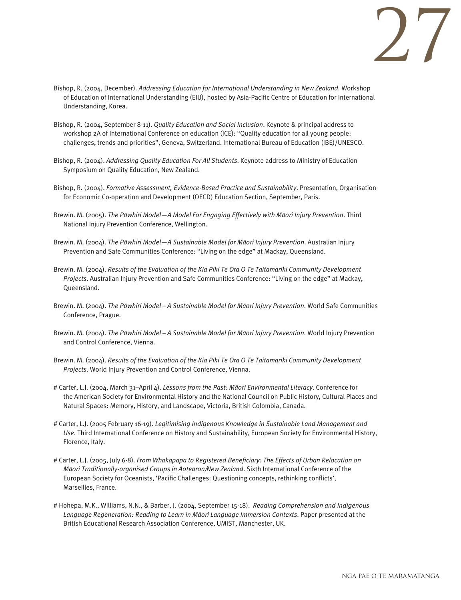

- Bishop, R. (2004, December). *Addressing Education for International Understanding in New Zealand*. Workshop of Education of International Understanding (EIU), hosted by Asia-Pacific Centre of Education for International Understanding, Korea.
- Bishop, R. (2004, September 8-11). *Quality Education and Social Inclusion*. Keynote & principal address to workshop 2A of International Conference on education (ICE): "Quality education for all young people: challenges, trends and priorities", Geneva, Switzerland. International Bureau of Education (IBE)/UNESCO.
- Bishop, R. (2004). *Addressing Quality Education For All Students*. Keynote address to Ministry of Education Symposium on Quality Education, New Zealand.
- Bishop, R. (2004). *Formative Assessment, Evidence-Based Practice and Sustainability*. Presentation, Organisation for Economic Co-operation and Development (OECD) Education Section, September, Paris.
- Brewin. M. (2005). *The Pöwhiri Model—A Model For Engaging Effectively with Mäori Injury Prevention*. Third National Injury Prevention Conference, Wellington.
- Brewin. M. (2004). *The Pöwhiri Model—A Sustainable Model for Mäori Injury Prevention*. Australian Injury Prevention and Safe Communities Conference: "Living on the edge" at Mackay, Queensland.
- Brewin. M. (2004). *Results of the Evaluation of the Kia Piki Te Ora O Te Taitamariki Community Development Projects*. Australian Injury Prevention and Safe Communities Conference: "Living on the edge" at Mackay, Queensland.
- Brewin. M. (2004). *The Pöwhiri Model A Sustainable Model for Mäori Injury Prevention*. World Safe Communities Conference, Prague.
- Brewin. M. (2004). *The Pöwhiri Model A Sustainable Model for Mäori Injury Prevention*. World Injury Prevention and Control Conference, Vienna.
- Brewin. M. (2004). *Results of the Evaluation of the Kia Piki Te Ora O Te Taitamariki Community Development Projects*. World Injury Prevention and Control Conference, Vienna.
- # Carter, L.J. (2004, March 31–April 4). *Lessons from the Past: Mäori Environmental Literacy*. Conference for the American Society for Environmental History and the National Council on Public History, Cultural Places and Natural Spaces: Memory, History, and Landscape, Victoria, British Colombia, Canada.
- # Carter, L.J. (2005 February 16-19). *Legitimising Indigenous Knowledge in Sustainable Land Management and Use*. Third International Conference on History and Sustainability, European Society for Environmental History, Florence, Italy.
- # Carter, L.J. (2005, July 6-8). *From Whakapapa to Registered Beneficiary: The Effects of Urban Relocation on Mäori Traditionally-organised Groups in Aotearoa/New Zealand*. Sixth International Conference of the European Society for Oceanists, 'Pacific Challenges: Questioning concepts, rethinking conflicts', Marseilles, France.
- # Hohepa, M.K., Williams, N.N., & Barber, J. (2004, September 15-18). *Reading Comprehension and Indigenous Language Regeneration: Reading to Learn in Mäori Language Immersion Contexts*. Paper presented at the British Educational Research Association Conference, UMIST, Manchester, UK.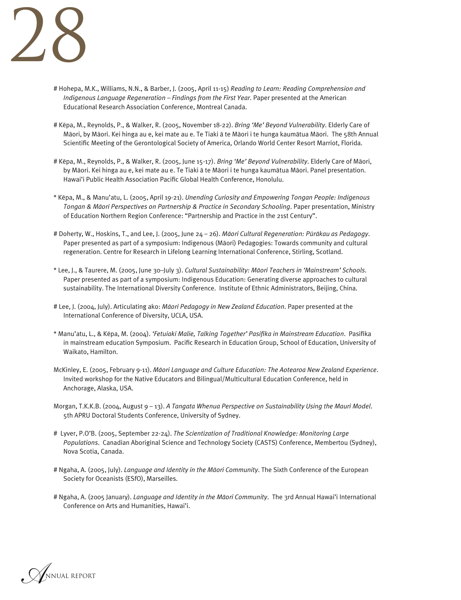

- # Hohepa, M.K., Williams, N.N., & Barber, J. (2005, April 11-15) *Reading to Learn: Reading Comprehension and Indigenous Language Regeneration – Findings from the First Year*. Paper presented at the American Educational Research Association Conference, Montreal Canada.
- # Këpa, M., Reynolds, P., & Walker, R. (2005, November 18-22). *Bring 'Me' Beyond Vulnerability*. Elderly Care of Mäori, by Mäori. Kei hinga au e, kei mate au e. Te Tiaki ä te Mäori i te hunga kaumätua Mäori. The 58th Annual Scientific Meeting of the Gerontological Society of America, Orlando World Center Resort Marriot, Florida.
- # Këpa, M., Reynolds, P., & Walker, R. (2005, June 15-17). *Bring 'Me' Beyond Vulnerability*. Elderly Care of Mäori, by Mäori. Kei hinga au e, kei mate au e. Te Tiaki ä te Mäori i te hunga kaumätua Mäori. Panel presentation. Hawai'i Public Health Association Pacific Global Health Conference, Honolulu.
- \* Këpa, M., & Manu'atu, L. (2005, April 19-21). *Unending Curiosity and Empowering Tongan People: Indigenous Tongan & Mäori Perspectives on Partnership & Practice in Secondary Schooling*. Paper presentation, Ministry of Education Northern Region Conference: "Partnership and Practice in the 21st Century".
- # Doherty, W., Hoskins, T., and Lee, J. (2005, June 24 26). *Mäori Cultural Regeneration: Püräkau as Pedagogy*. Paper presented as part of a symposium: Indigenous (Mäori) Pedagogies: Towards community and cultural regeneration. Centre for Research in Lifelong Learning International Conference, Stirling, Scotland.
- \* Lee, J., & Taurere, M. (2005, June 30–July 3). *Cultural Sustainability: Mäori Teachers in 'Mainstream' Schools*. Paper presented as part of a symposium: Indigenous Education: Generating diverse approaches to cultural sustainability. The International Diversity Conference. Institute of Ethnic Administrators, Beijing, China.
- # Lee, J. (2004, July). Articulating ako: *Mäori Pedagogy in New Zealand Education*. Paper presented at the International Conference of Diversity, UCLA, USA.
- \* Manu'atu, L., & Këpa, M. (2004). *'Fetuiaki Malie, Talking Together' Pasifika in Mainstream Education*. Pasifika in mainstream education Symposium. Pacific Research in Education Group, School of Education, University of Waikato, Hamilton.
- McKinley, E. (2005, February 9-11). *Mäori Language and Culture Education: The Aotearoa New Zealand Experience*. Invited workshop for the Native Educators and Bilingual/Multicultural Education Conference, held in Anchorage, Alaska, USA.
- Morgan, T.K.K.B. (2004, August 9 13). *A Tangata Whenua Perspective on Sustainability Using the Mauri Model*. 5th APRU Doctoral Students Conference, University of Sydney.
- # Lyver, P.O'B. (2005, September 22-24). *The Scientization of Traditional Knowledge: Monitoring Large Populations*. Canadian Aboriginal Science and Technology Society (CASTS) Conference, Membertou (Sydney), Nova Scotia, Canada.
- # Ngaha, A. (2005, July). *Language and Identity in the Mäori Community*. The Sixth Conference of the European Society for Oceanists (ESfO), Marseilles.
- # Ngaha, A. (2005 January). *Language and Identity in the Mäori Community*. The 3rd Annual Hawai'i International Conference on Arts and Humanities, Hawai'i.

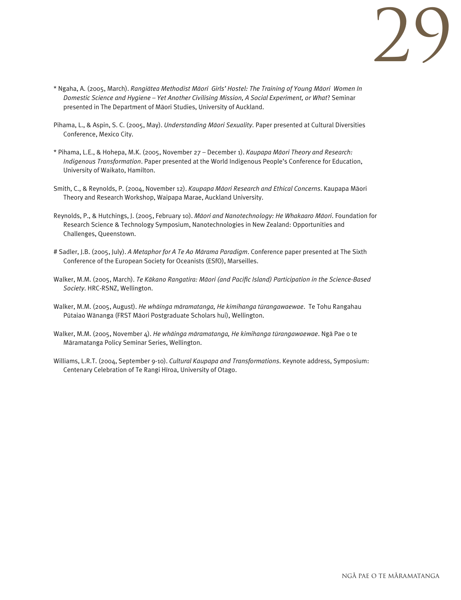

- \* Ngaha, A. (2005, March). *Rangiätea Methodist Mäori Girls' Hostel: The Training of Young Mäori Women In Domestic Science and Hygiene – Yet Another Civilising Mission, A Social Experiment, or What*? Seminar presented in The Department of Mäori Studies, University of Auckland.
- Pihama, L., & Aspin, S. C. (2005, May). *Understanding Mäori Sexuality*. Paper presented at Cultural Diversities Conference, Mexico City.
- \* Pihama, L.E., & Hohepa, M.K. (2005, November 27 December 1). *Kaupapa Mäori Theory and Research: Indigenous Transformation*. Paper presented at the World Indigenous People's Conference for Education, University of Waikato, Hamilton.
- Smith, C., & Reynolds, P. (2004, November 12). *Kaupapa Mäori Research and Ethical Concerns*. Kaupapa Mäori Theory and Research Workshop, Waipapa Marae, Auckland University.
- Reynolds, P., & Hutchings, J. (2005, February 10). *Mäori and Nanotechnology: He Whakaaro Mäori*. Foundation for Research Science & Technology Symposium, Nanotechnologies in New Zealand: Opportunities and Challenges, Queenstown.
- # Sadler, J.B. (2005, July). *A Metaphor for A Te Ao Märama Paradigm*. Conference paper presented at The Sixth Conference of the European Society for Oceanists (ESfO), Marseilles.
- Walker, M.M. (2005, March). *Te Käkano Rangatira: Mäori (and Pacific Island) Participation in the Science-Based Society*. HRC-RSNZ, Wellington.
- Walker, M.M. (2005, August). *He whäinga märamatanga, He kimihanga türangawaewae*. Te Tohu Rangahau Pütaiao Wänanga (FRST Mäori Postgraduate Scholars hui), Wellington.
- Walker, M.M. (2005, November 4). *He whäinga märamatanga, He kimihanga türangawaewae*. Ngä Pae o te Märamatanga Policy Seminar Series, Wellington.
- Williams, L.R.T. (2004, September 9-10). *Cultural Kaupapa and Transformations*. Keynote address, Symposium: Centenary Celebration of Te Rangi Hïroa, University of Otago.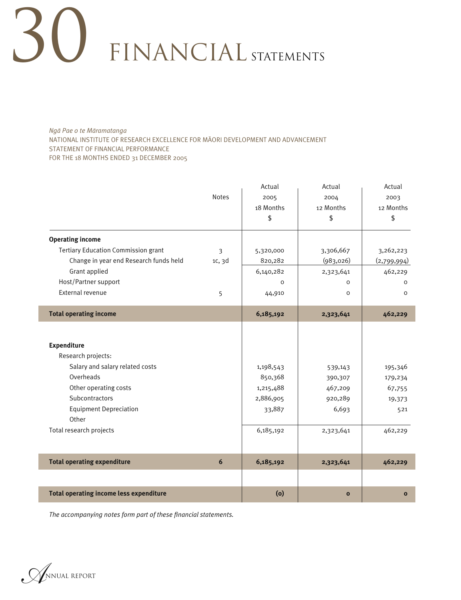*Ngä Pae o te Märamatanga* NATIONAL INSTITUTE OF RESEARCH EXCELLENCE FOR MÄORI DEVELOPMENT AND ADVANCEMENT STATEMENT OF FINANCIAL PERFORMANCE FOR THE 18 MONTHS ENDED 31 DECEMBER 2005

|                                                |              | Actual    | Actual       | Actual       |
|------------------------------------------------|--------------|-----------|--------------|--------------|
|                                                | <b>Notes</b> | 2005      | 2004         | 2003         |
|                                                |              | 18 Months | 12 Months    | 12 Months    |
|                                                |              | \$        | \$           | \$           |
| <b>Operating income</b>                        |              |           |              |              |
| <b>Tertiary Education Commission grant</b>     | 3            | 5,320,000 | 3,306,667    | 3,262,223    |
| Change in year end Research funds held         | 1c, 3d       | 820,282   | (983,026)    | (2,799,994)  |
| Grant applied                                  |              | 6,140,282 | 2,323,641    | 462,229      |
| Host/Partner support                           |              | $\Omega$  | $\Omega$     | 0            |
| External revenue                               | 5            | 44,910    | O            | $\Omega$     |
| <b>Total operating income</b>                  |              | 6,185,192 | 2,323,641    | 462,229      |
|                                                |              |           |              |              |
| <b>Expenditure</b>                             |              |           |              |              |
| Research projects:                             |              |           |              |              |
| Salary and salary related costs                |              | 1,198,543 | 539,143      | 195,346      |
| Overheads                                      |              | 850,368   | 390,307      | 179,234      |
| Other operating costs                          |              | 1,215,488 | 467,209      | 67,755       |
| Subcontractors                                 |              | 2,886,905 | 920,289      | 19,373       |
| <b>Equipment Depreciation</b>                  |              | 33,887    | 6,693        | 521          |
| Other                                          |              |           |              |              |
| Total research projects                        |              | 6,185,192 | 2,323,641    | 462,229      |
|                                                |              |           |              |              |
| <b>Total operating expenditure</b>             | 6            | 6,185,192 | 2,323,641    | 462,229      |
|                                                |              |           |              |              |
| <b>Total operating income less expenditure</b> |              | (o)       | $\mathbf{o}$ | $\mathbf{o}$ |

*The accompanying notes form part of these financial statements.*

*A*NNUAL REPORT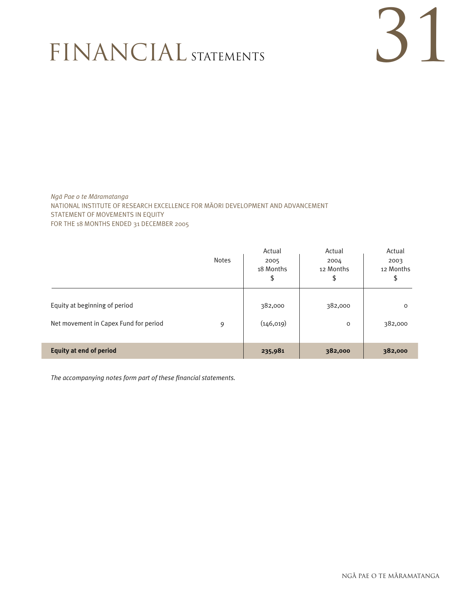# 31

*Ngä Pae o te Märamatanga* NATIONAL INSTITUTE OF RESEARCH EXCELLENCE FOR MÄORI DEVELOPMENT AND ADVANCEMENT STATEMENT OF MOVEMENTS IN EQUITY FOR THE 18 MONTHS ENDED 31 DECEMBER 2005

|                                       |              | Actual     | Actual    | Actual    |  |
|---------------------------------------|--------------|------------|-----------|-----------|--|
|                                       | <b>Notes</b> | 2005       | 2004      | 2003      |  |
|                                       |              | 18 Months  | 12 Months | 12 Months |  |
|                                       |              | \$         | \$        | \$        |  |
|                                       |              |            |           |           |  |
| Equity at beginning of period         |              | 382,000    | 382,000   | $\circ$   |  |
|                                       |              |            |           |           |  |
| Net movement in Capex Fund for period | 9            | (146, 019) | $\circ$   | 382,000   |  |
|                                       |              |            |           |           |  |
| <b>Equity at end of period</b>        |              | 235,981    | 382,000   | 382,000   |  |

*The accompanying notes form part of these financial statements.*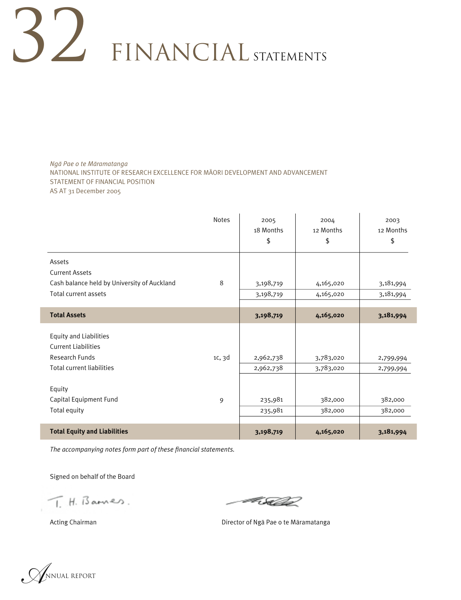*Ngä Pae o te Märamatanga* NATIONAL INSTITUTE OF RESEARCH EXCELLENCE FOR MÄORI DEVELOPMENT AND ADVANCEMENT STATEMENT OF FINANCIAL POSITION AS AT 31 December 2005

|                                                                                                                          | <b>Notes</b> | 2005<br>18 Months<br>\$ | 2004<br>12 Months<br>\$ | 2003<br>12 Months<br>\$ |
|--------------------------------------------------------------------------------------------------------------------------|--------------|-------------------------|-------------------------|-------------------------|
| Assets<br><b>Current Assets</b>                                                                                          |              |                         |                         |                         |
| Cash balance held by University of Auckland                                                                              | 8            | 3,198,719               | 4,165,020               | 3,181,994               |
| Total current assets                                                                                                     |              | 3,198,719               | 4,165,020               | 3,181,994               |
|                                                                                                                          |              |                         |                         |                         |
| <b>Total Assets</b>                                                                                                      |              | 3,198,719               | 4,165,020               | 3,181,994               |
| <b>Equity and Liabilities</b><br><b>Current Liabilities</b><br><b>Research Funds</b><br><b>Total current liabilities</b> | 1c, 3d       | 2,962,738<br>2,962,738  | 3,783,020<br>3,783,020  | 2,799,994<br>2,799,994  |
| Equity<br>Capital Equipment Fund<br>Total equity                                                                         | 9            | 235,981<br>235,981      | 382,000<br>382,000      | 382,000<br>382,000      |
| <b>Total Equity and Liabilities</b>                                                                                      |              | 3,198,719               | 4,165,020               | 3,181,994               |

*The accompanying notes form part of these financial statements.*

Signed on behalf of the Board 

 $T.H.$  Bannes.

Fille

Acting Chairman **Manufatan Chairman Director of Nga Pae o te Maramatanga** 

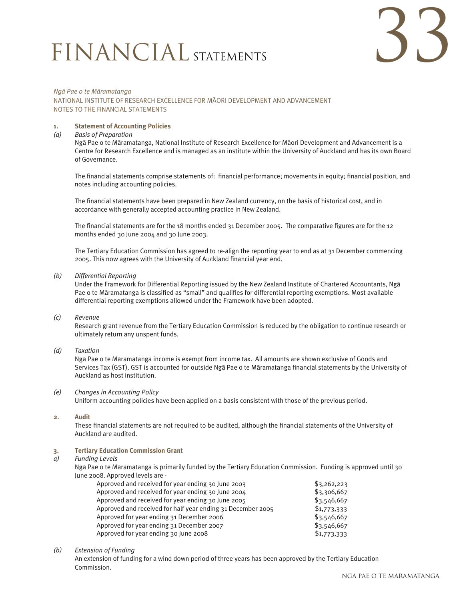

#### *Ngä Pae o te Märamatanga* NATIONAL INSTITUTE OF RESEARCH EXCELLENCE FOR MÄORI DEVELOPMENT AND ADVANCEMENT NOTES TO THE FINANCIAL STATEMENTS

#### **1. Statement of Accounting Policies**

#### *(a) Basis of Preparation*

 Ngä Pae o te Märamatanga, National Institute of Research Excellence for Mäori Development and Advancement is a Centre for Research Excellence and is managed as an institute within the University of Auckland and has its own Board of Governance. 

 The financial statements comprise statements of: financial performance; movements in equity; financial position, and notes including accounting policies. 

 The financial statements have been prepared in New Zealand currency, on the basis of historical cost, and in accordance with generally accepted accounting practice in New Zealand. 

 The financial statements are for the 18 months ended 31 December 2005. The comparative figures are for the 12 months ended 30 June 2004 and 30 June 2003. 

The Tertiary Education Commission has agreed to re-align the reporting year to end as at 31 December commencing 2005. This now agrees with the University of Auckland financial year end.

#### *(b) Differential Reporting*

 Under the Framework for Differential Reporting issued by the New Zealand Institute of Chartered Accountants, Ngä Pae o te Märamatanga is classified as "small" and qualifies for differential reporting exemptions. Most available differential reporting exemptions allowed under the Framework have been adopted. 

#### *(c) Revenue*

 Research grant revenue from the Tertiary Education Commission is reduced by the obligation to continue research or ultimately return any unspent funds. 

#### *(d) Taxation*

 Ngä Pae o te Märamatanga income is exempt from income tax. All amounts are shown exclusive of Goods and Services Tax (GST). GST is accounted for outside Ngä Pae o te Märamatanga financial statements by the University of Auckland as host institution. 

#### *(e) Changes in Accounting Policy*

 Uniform accounting policies have been applied on a basis consistent with those of the previous period. 

#### **2. Audit**

 These financial statements are not required to be audited, although the financial statements of the University of Auckland are audited. 

#### **3. Tertiary Education Commission Grant**

#### *a) Funding Levels*

 Ngä Pae o te Märamatanga is primarily funded by the Tertiary Education Commission. Funding is approved until 30 June 2008. Approved levels are - 

| Approved and received for year ending 30 June 2003          | \$3,262,223 |
|-------------------------------------------------------------|-------------|
| Approved and received for year ending 30 June 2004          | \$3,306,667 |
| Approved and received for year ending 30 June 2005          | \$3,546,667 |
| Approved and received for half year ending 31 December 2005 | \$1,773,333 |
| Approved for year ending 31 December 2006                   | \$3,546,667 |
| Approved for year ending 31 December 2007                   | \$3,546,667 |
| Approved for year ending 30 June 2008                       | \$1,773,333 |

#### *(b) Extension of Funding*

 An extension of funding for a wind down period of three years has been approved by the Tertiary Education Commission.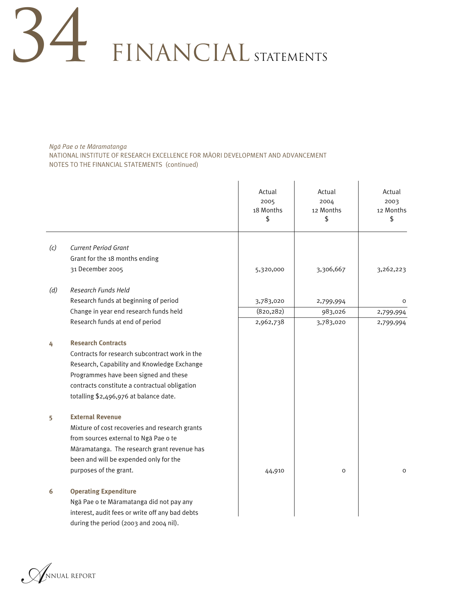*Ngä Pae o te Märamatanga* NATIONAL INSTITUTE OF RESEARCH EXCELLENCE FOR MÄORI DEVELOPMENT AND ADVANCEMENT NOTES TO THE FINANCIAL STATEMENTS (continued)

|     |                                                 | Actual<br>2005<br>18 Months<br>\$ | Actual<br>2004<br>12 Months<br>\$ | Actual<br>2003<br>12 Months<br>\$ |
|-----|-------------------------------------------------|-----------------------------------|-----------------------------------|-----------------------------------|
| (c) | <b>Current Period Grant</b>                     |                                   |                                   |                                   |
|     | Grant for the 18 months ending                  |                                   |                                   |                                   |
|     | 31 December 2005                                |                                   |                                   |                                   |
|     |                                                 | 5,320,000                         | 3,306,667                         | 3,262,223                         |
| (d) | Research Funds Held                             |                                   |                                   |                                   |
|     | Research funds at beginning of period           | 3,783,020                         | 2,799,994                         | $\Omega$                          |
|     | Change in year end research funds held          | (820, 282)                        | 983,026                           | 2,799,994                         |
|     | Research funds at end of period                 | 2,962,738                         | 3,783,020                         | 2,799,994                         |
| 4   | <b>Research Contracts</b>                       |                                   |                                   |                                   |
|     | Contracts for research subcontract work in the  |                                   |                                   |                                   |
|     | Research, Capability and Knowledge Exchange     |                                   |                                   |                                   |
|     | Programmes have been signed and these           |                                   |                                   |                                   |
|     | contracts constitute a contractual obligation   |                                   |                                   |                                   |
|     | totalling \$2,496,976 at balance date.          |                                   |                                   |                                   |
| 5   | <b>External Revenue</b>                         |                                   |                                   |                                   |
|     | Mixture of cost recoveries and research grants  |                                   |                                   |                                   |
|     | from sources external to Nga Pae o te           |                                   |                                   |                                   |
|     | Māramatanga. The research grant revenue has     |                                   |                                   |                                   |
|     | been and will be expended only for the          |                                   |                                   |                                   |
|     | purposes of the grant.                          | 44,910                            | O                                 | $\mathsf O$                       |
| 6   | <b>Operating Expenditure</b>                    |                                   |                                   |                                   |
|     | Ngā Pae o te Māramatanga did not pay any        |                                   |                                   |                                   |
|     | interest, audit fees or write off any bad debts |                                   |                                   |                                   |
|     | during the period (2003 and 2004 nil).          |                                   |                                   |                                   |

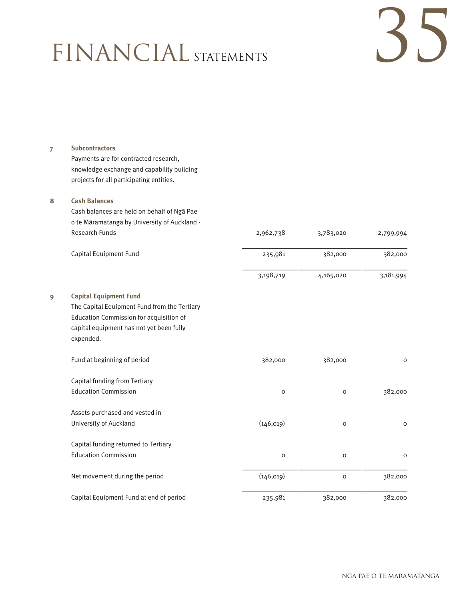# 35

| 7 | <b>Subcontractors</b>                        |            |              |              |
|---|----------------------------------------------|------------|--------------|--------------|
|   | Payments are for contracted research,        |            |              |              |
|   | knowledge exchange and capability building   |            |              |              |
|   | projects for all participating entities.     |            |              |              |
| 8 | <b>Cash Balances</b>                         |            |              |              |
|   | Cash balances are held on behalf of Nga Pae  |            |              |              |
|   | o te Māramatanga by University of Auckland - |            |              |              |
|   | <b>Research Funds</b>                        | 2,962,738  | 3,783,020    | 2,799,994    |
|   | Capital Equipment Fund                       | 235,981    | 382,000      | 382,000      |
|   |                                              | 3,198,719  | 4,165,020    | 3,181,994    |
| 9 | <b>Capital Equipment Fund</b>                |            |              |              |
|   | The Capital Equipment Fund from the Tertiary |            |              |              |
|   | Education Commission for acquisition of      |            |              |              |
|   | capital equipment has not yet been fully     |            |              |              |
|   | expended.                                    |            |              |              |
|   | Fund at beginning of period                  | 382,000    | 382,000      | $\mathsf{o}$ |
|   | Capital funding from Tertiary                |            |              |              |
|   | <b>Education Commission</b>                  | $\circ$    | $\mathsf O$  | 382,000      |
|   | Assets purchased and vested in               |            |              |              |
|   | University of Auckland                       | (146, 019) | $\mathsf O$  | $\circ$      |
|   | Capital funding returned to Tertiary         |            |              |              |
|   | <b>Education Commission</b>                  | $\circ$    | $\mathsf{o}$ | $\circ$      |
|   | Net movement during the period               | (146, 019) | O            | 382,000      |
|   | Capital Equipment Fund at end of period      | 235,981    | 382,000      | 382,000      |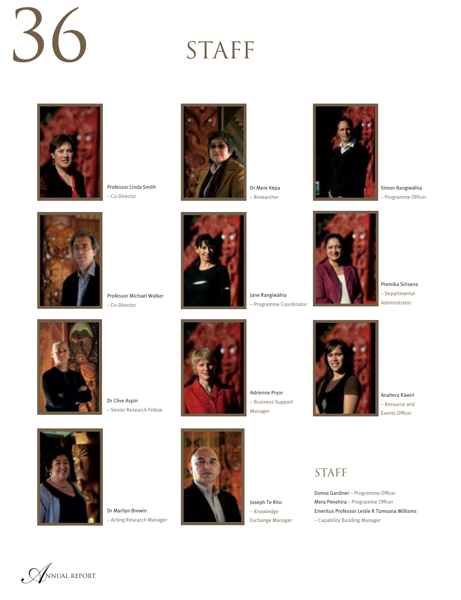# 36

## STAFF



Professor Linda Smith – Co-Director





Dr Mere Këpa – Researcher





Simon Rangiwähia – Programme Officer



Premika Sirisena – Departmental Administrator



Dr Clive Aspin – Senior Research Fellow



Adrienne Pryor – Business Support Manager

Jane Rangiwähia – Programme Coordinator



Anahera Räwiri – Resource and Events Officer



Dr Marilyn Brewin – Acting Research Manager



Joseph Te Rito – Knowledge Exchange Manager

### STAFF

Donna Gardiner – Programme Officer Mera Penehira – Programme Officer Emeritus Professor Leslie R Tümoana Williams – Capability Building Manager

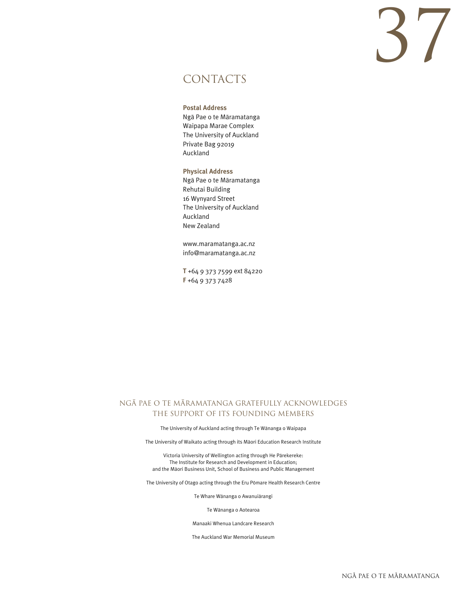# 37

### CONTACTS

#### **Postal Address**

Ngä Pae o te Märamatanga Waipapa Marae Complex The University of Auckland Private Bag 92019 Auckland

#### **Physical Address**

Ngä Pae o te Märamatanga Rehutai Building 16 Wynyard Street The University of Auckland Auckland New Zealand

www.maramatanga.ac.nz info@maramatanga.ac.nz

**T** +64 9 373 7599 ext 84220 **F** +64 9 373 7428

#### NGA PAE O TE MARAMATANGA GRATEFULLY ACKNOWLEDGES THE SUPPORT OF ITS FOUNDING MEMBERS

The University of Auckland acting through Te Wänanga o Waipapa

The University of Waikato acting through its Mäori Education Research Institute

Victoria University of Wellington acting through He Pärekereke: The Institute for Research and Development in Education; and the Mäori Business Unit, School of Business and Public Management

The University of Otago acting through the Eru Pömare Health Research Centre

Te Whare Wänanga o Awanuiärangi

Te Wänanga o Aotearoa

Manaaki Whenua Landcare Research

The Auckland War Memorial Museum